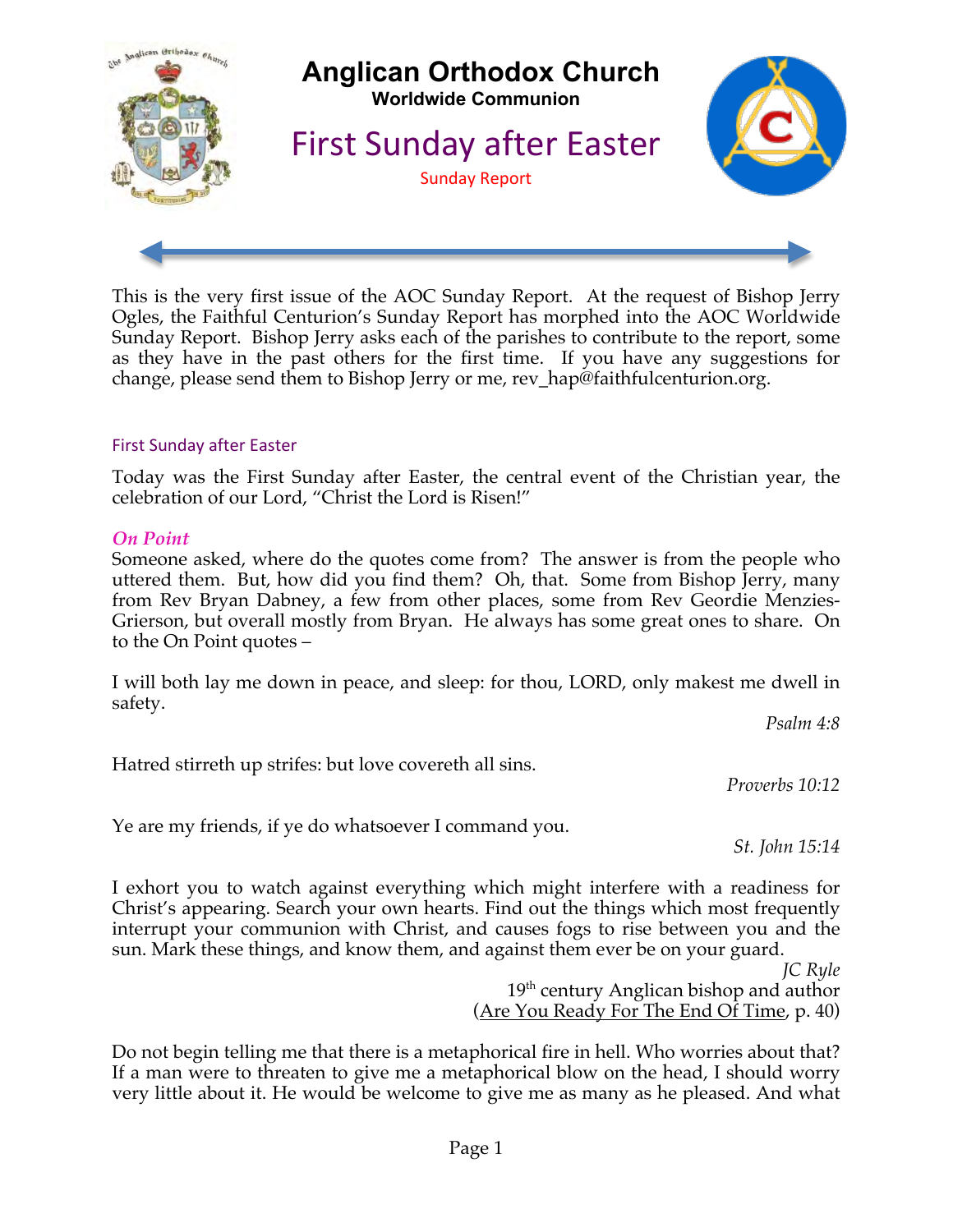

This is the very first issue of the AOC Sunday Report. At the request of Bishop Jerry Ogles, the Faithful Centurion's Sunday Report has morphed into the AOC Worldwide Sunday Report. Bishop Jerry asks each of the parishes to contribute to the report, some as they have in the past others for the first time. If you have any suggestions for change, please send them to Bishop Jerry or me, rev\_hap@faithfulcenturion.org.

### First Sunday after Easter

Today was the First Sunday after Easter, the central event of the Christian year, the celebration of our Lord, "Christ the Lord is Risen!"

### *On Point*

Someone asked, where do the quotes come from? The answer is from the people who uttered them. But, how did you find them? Oh, that. Some from Bishop Jerry, many from Rev Bryan Dabney, a few from other places, some from Rev Geordie Menzies-Grierson, but overall mostly from Bryan. He always has some great ones to share. On to the On Point quotes –

I will both lay me down in peace, and sleep: for thou, LORD, only makest me dwell in safety.

*Psalm 4:8*

Hatred stirreth up strifes: but love covereth all sins.

*Proverbs 10:12*

Ye are my friends, if ye do whatsoever I command you.

*St. John 15:14*

I exhort you to watch against everything which might interfere with a readiness for Christ's appearing. Search your own hearts. Find out the things which most frequently interrupt your communion with Christ, and causes fogs to rise between you and the sun. Mark these things, and know them, and against them ever be on your guard.

> *JC Ryle* 19<sup>th</sup> century Anglican bishop and author (Are You Ready For The End Of Time, p. 40)

Do not begin telling me that there is a metaphorical fire in hell. Who worries about that? If a man were to threaten to give me a metaphorical blow on the head, I should worry very little about it. He would be welcome to give me as many as he pleased. And what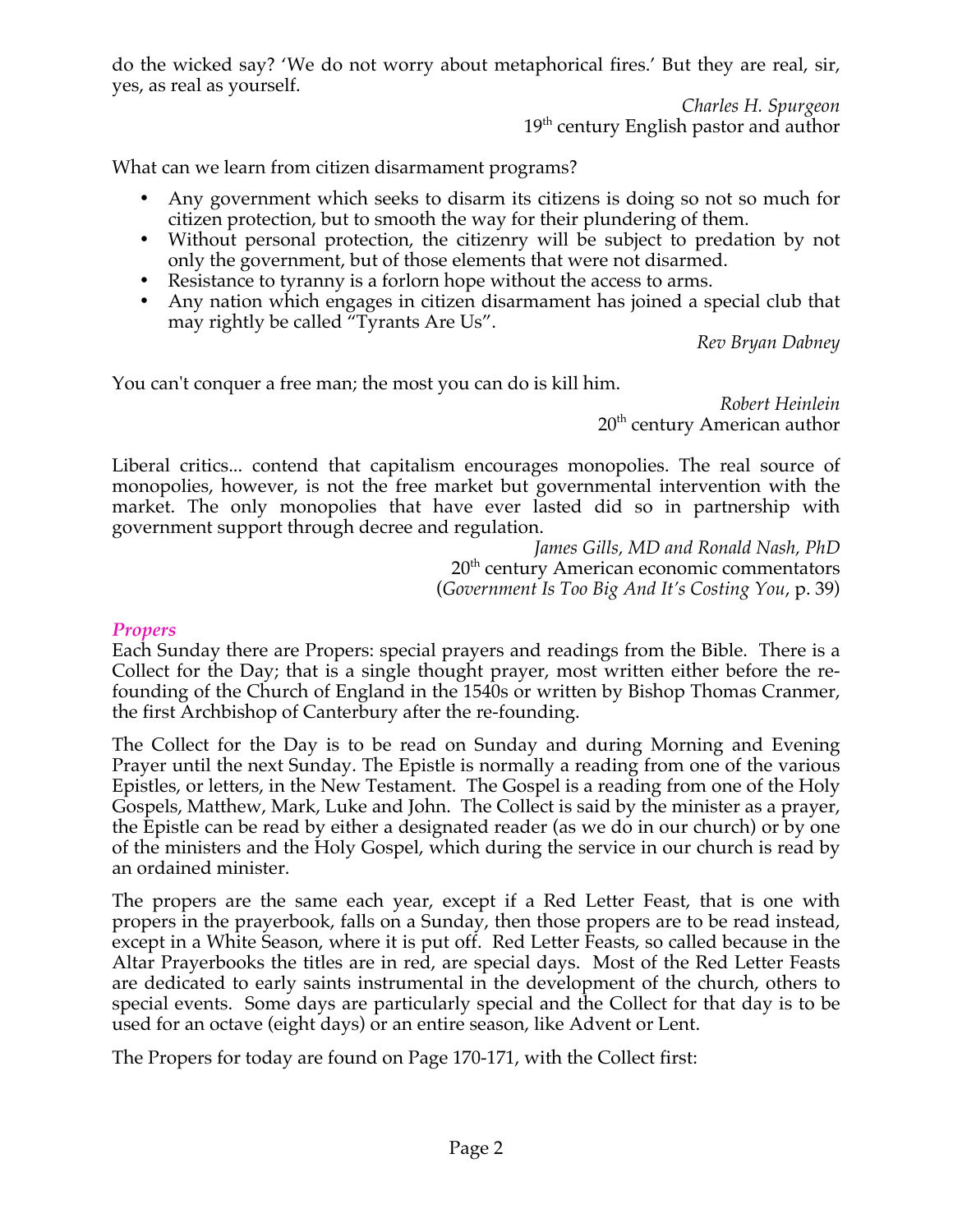do the wicked say? 'We do not worry about metaphorical fires.' But they are real, sir, yes, as real as yourself.

> *Charles H. Spurgeon* 19<sup>th</sup> century English pastor and author

What can we learn from citizen disarmament programs?

- Any government which seeks to disarm its citizens is doing so not so much for citizen protection, but to smooth the way for their plundering of them.
- Without personal protection, the citizenry will be subject to predation by not only the government, but of those elements that were not disarmed.
- Resistance to tyranny is a forlorn hope without the access to arms.
- Any nation which engages in citizen disarmament has joined a special club that may rightly be called "Tyrants Are Us".

*Rev Bryan Dabney*

You can't conquer a free man; the most you can do is kill him.

*Robert Heinlein*  $20<sup>th</sup>$  century American author

Liberal critics... contend that capitalism encourages monopolies. The real source of monopolies, however, is not the free market but governmental intervention with the market. The only monopolies that have ever lasted did so in partnership with government support through decree and regulation.

> *James Gills, MD and Ronald Nash, PhD* 20<sup>th</sup> century American economic commentators (*Government Is Too Big And It's Costing You*, p. 39)

### *Propers*

Each Sunday there are Propers: special prayers and readings from the Bible. There is a Collect for the Day; that is a single thought prayer, most written either before the refounding of the Church of England in the 1540s or written by Bishop Thomas Cranmer, the first Archbishop of Canterbury after the re-founding.

The Collect for the Day is to be read on Sunday and during Morning and Evening Prayer until the next Sunday. The Epistle is normally a reading from one of the various Epistles, or letters, in the New Testament. The Gospel is a reading from one of the Holy Gospels, Matthew, Mark, Luke and John. The Collect is said by the minister as a prayer, the Epistle can be read by either a designated reader (as we do in our church) or by one of the ministers and the Holy Gospel, which during the service in our church is read by an ordained minister.

The propers are the same each year, except if a Red Letter Feast, that is one with propers in the prayerbook, falls on a Sunday, then those propers are to be read instead, except in a White Season, where it is put off. Red Letter Feasts, so called because in the Altar Prayerbooks the titles are in red, are special days. Most of the Red Letter Feasts are dedicated to early saints instrumental in the development of the church, others to special events. Some days are particularly special and the Collect for that day is to be used for an octave (eight days) or an entire season, like Advent or Lent.

The Propers for today are found on Page 170-171, with the Collect first: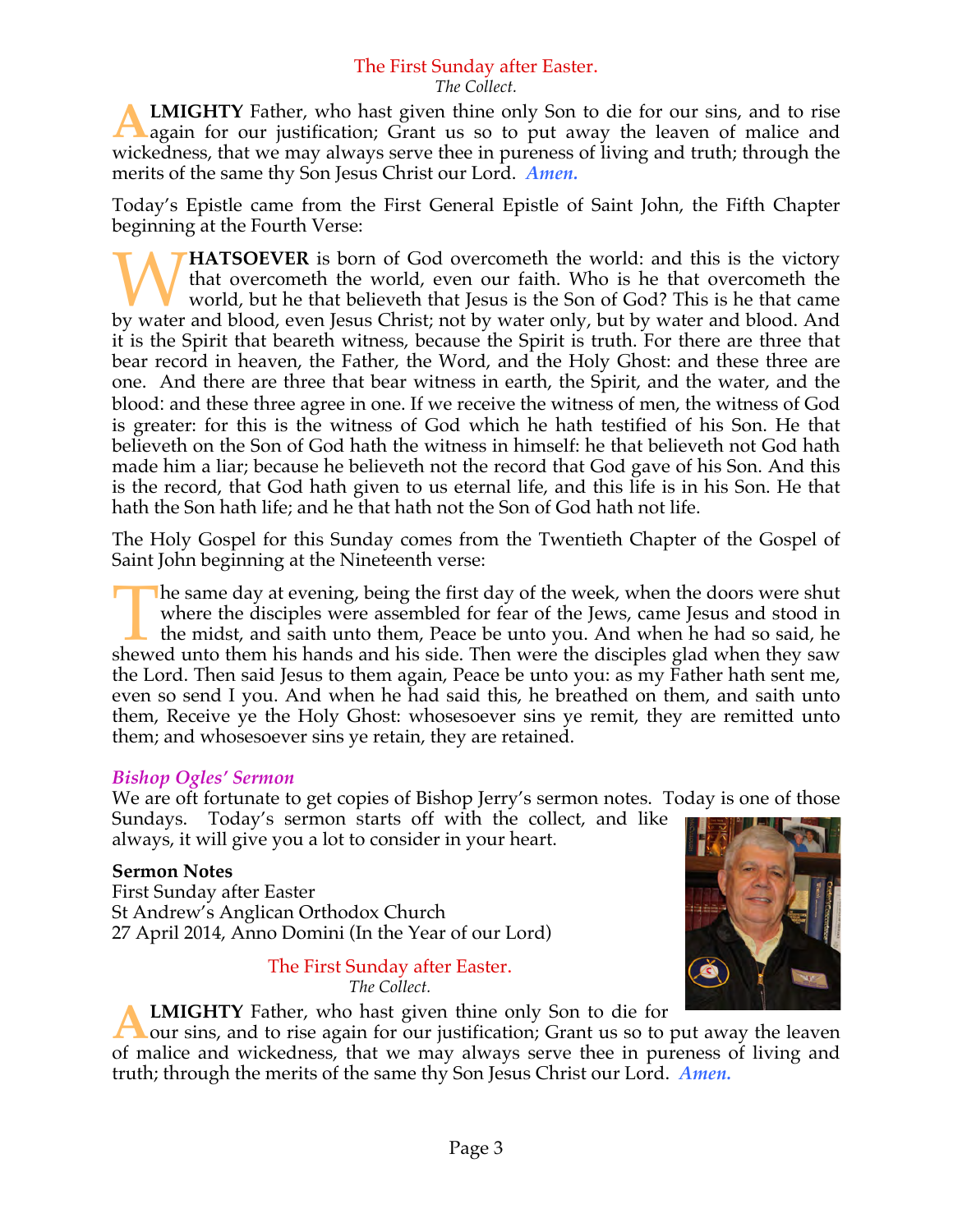# The First Sunday after Easter.

*The Collect.*

**LMIGHTY** Father, who hast given thine only Son to die for our sins, and to rise again for our justification; Grant us so to put away the leaven of malice and wickedness, that we may always serve thee in pureness of living and truth; through the merits of the same thy Son Jesus Christ our Lord. *Amen.* **A**

Today's Epistle came from the First General Epistle of Saint John, the Fifth Chapter beginning at the Fourth Verse:

**HATSOEVER** is born of God overcometh the world: and this is the victory that overcometh the world, even our faith. Who is he that overcometh the world, but he that believeth that Jesus is the Son of God? This is he that came **by HATSOEVER** is born of God overcometh the world: and this is the victory that overcometh the world, even our faith. Who is he that overcometh the world, but he that believeth that Jesus is the Son of God? This is he tha it is the Spirit that beareth witness, because the Spirit is truth. For there are three that bear record in heaven, the Father, the Word, and the Holy Ghost: and these three are one. And there are three that bear witness in earth, the Spirit, and the water, and the blood: and these three agree in one. If we receive the witness of men, the witness of God is greater: for this is the witness of God which he hath testified of his Son. He that believeth on the Son of God hath the witness in himself: he that believeth not God hath made him a liar; because he believeth not the record that God gave of his Son. And this is the record, that God hath given to us eternal life, and this life is in his Son. He that hath the Son hath life; and he that hath not the Son of God hath not life.

The Holy Gospel for this Sunday comes from the Twentieth Chapter of the Gospel of Saint John beginning at the Nineteenth verse:

he same day at evening, being the first day of the week, when the doors were shut where the disciples were assembled for fear of the Jews, came Jesus and stood in the midst, and saith unto them, Peace be unto you. And when he had so said, he The same day at evening, being the first day of the week, when the doors were shut where the disciples were assembled for fear of the Jews, came Jesus and stood in the midst, and saith unto them, Peace be unto you. And whe the Lord. Then said Jesus to them again, Peace be unto you: as my Father hath sent me, even so send I you. And when he had said this, he breathed on them, and saith unto them, Receive ye the Holy Ghost: whosesoever sins ye remit, they are remitted unto them; and whosesoever sins ye retain, they are retained.

### *Bishop Ogles' Sermon*

We are oft fortunate to get copies of Bishop Jerry's sermon notes. Today is one of those Sundays. Today's sermon starts off with the collect, and like

always, it will give you a lot to consider in your heart.

### **Sermon Notes**

First Sunday after Easter St Andrew's Anglican Orthodox Church 27 April 2014, Anno Domini (In the Year of our Lord)

> The First Sunday after Easter. *The Collect.*



**LMIGHTY** Father, who hast given thine only Son to die for

our sins, and to rise again for our justification; Grant us so to put away the leaven of malice and wickedness, that we may always serve thee in pureness of living and truth; through the merits of the same thy Son Jesus Christ our Lord. *Amen.* **A**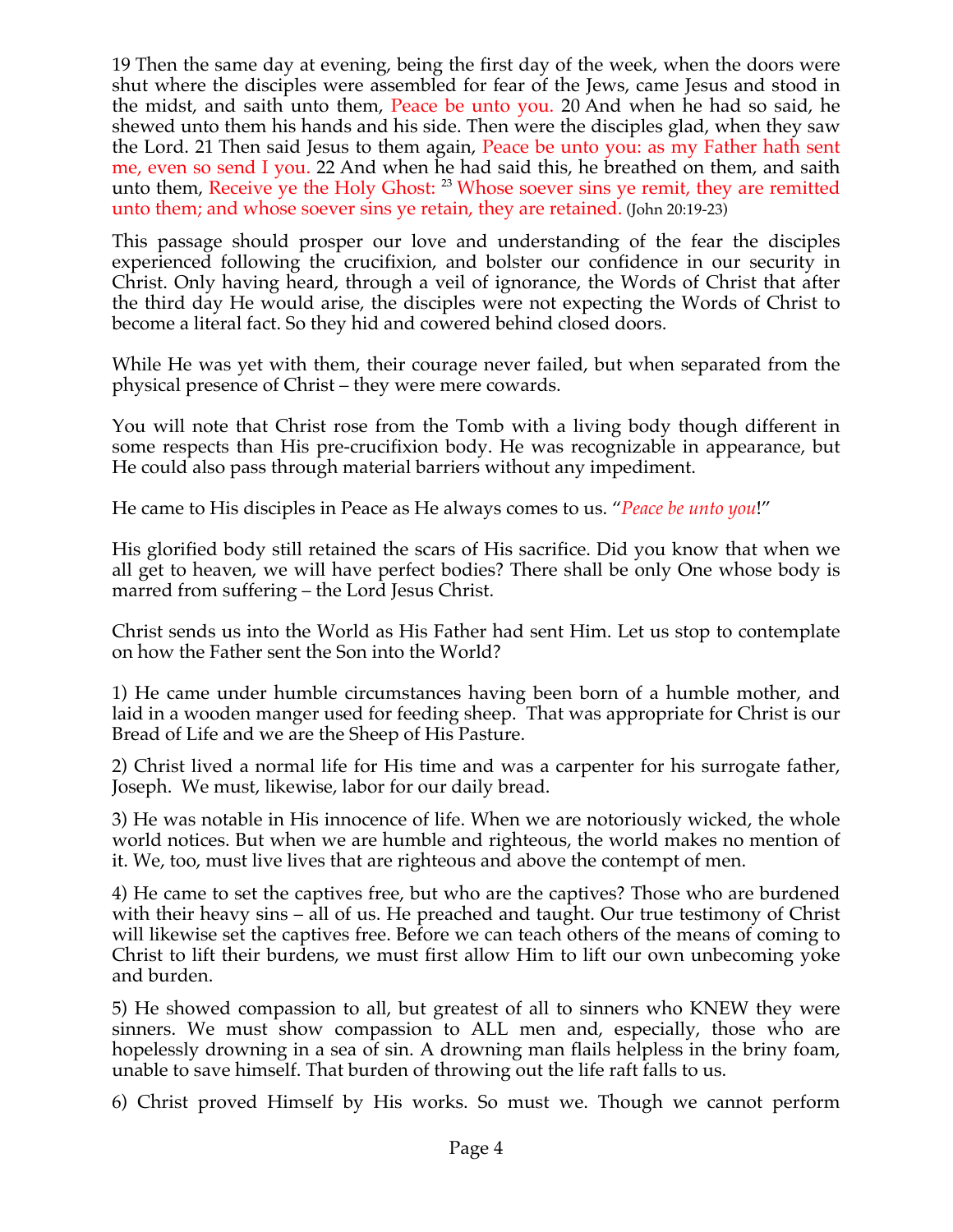19 Then the same day at evening, being the first day of the week, when the doors were shut where the disciples were assembled for fear of the Jews, came Jesus and stood in the midst, and saith unto them, Peace be unto you. 20 And when he had so said, he shewed unto them his hands and his side. Then were the disciples glad, when they saw the Lord. 21 Then said Jesus to them again, Peace be unto you: as my Father hath sent me, even so send I you. 22 And when he had said this, he breathed on them, and saith unto them, Receive ye the Holy Ghost: <sup>23</sup> Whose soever sins ye remit, they are remitted unto them; and whose soever sins ye retain, they are retained. (John 20:19-23)

This passage should prosper our love and understanding of the fear the disciples experienced following the crucifixion, and bolster our confidence in our security in Christ. Only having heard, through a veil of ignorance, the Words of Christ that after the third day He would arise, the disciples were not expecting the Words of Christ to become a literal fact. So they hid and cowered behind closed doors.

While He was yet with them, their courage never failed, but when separated from the physical presence of Christ – they were mere cowards.

You will note that Christ rose from the Tomb with a living body though different in some respects than His pre-crucifixion body. He was recognizable in appearance, but He could also pass through material barriers without any impediment.

He came to His disciples in Peace as He always comes to us. "*Peace be unto you*!"

His glorified body still retained the scars of His sacrifice. Did you know that when we all get to heaven, we will have perfect bodies? There shall be only One whose body is marred from suffering – the Lord Jesus Christ.

Christ sends us into the World as His Father had sent Him. Let us stop to contemplate on how the Father sent the Son into the World?

1) He came under humble circumstances having been born of a humble mother, and laid in a wooden manger used for feeding sheep. That was appropriate for Christ is our Bread of Life and we are the Sheep of His Pasture.

2) Christ lived a normal life for His time and was a carpenter for his surrogate father, Joseph. We must, likewise, labor for our daily bread.

3) He was notable in His innocence of life. When we are notoriously wicked, the whole world notices. But when we are humble and righteous, the world makes no mention of it. We, too, must live lives that are righteous and above the contempt of men.

4) He came to set the captives free, but who are the captives? Those who are burdened with their heavy sins – all of us. He preached and taught. Our true testimony of Christ will likewise set the captives free. Before we can teach others of the means of coming to Christ to lift their burdens, we must first allow Him to lift our own unbecoming yoke and burden.

5) He showed compassion to all, but greatest of all to sinners who KNEW they were sinners. We must show compassion to ALL men and, especially, those who are hopelessly drowning in a sea of sin. A drowning man flails helpless in the briny foam, unable to save himself. That burden of throwing out the life raft falls to us.

6) Christ proved Himself by His works. So must we. Though we cannot perform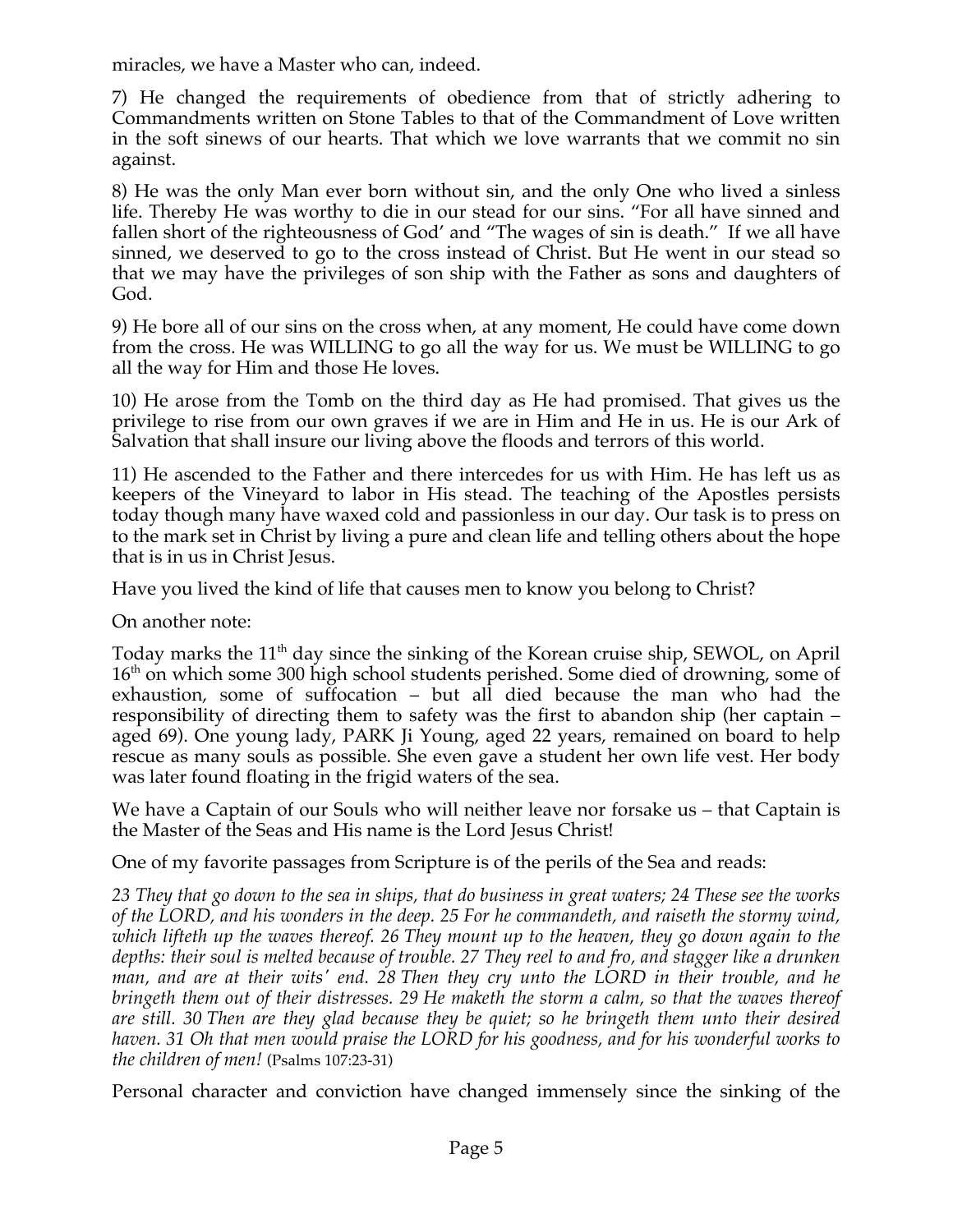miracles, we have a Master who can, indeed.

7) He changed the requirements of obedience from that of strictly adhering to Commandments written on Stone Tables to that of the Commandment of Love written in the soft sinews of our hearts. That which we love warrants that we commit no sin against.

8) He was the only Man ever born without sin, and the only One who lived a sinless life. Thereby He was worthy to die in our stead for our sins. "For all have sinned and fallen short of the righteousness of God' and "The wages of sin is death." If we all have sinned, we deserved to go to the cross instead of Christ. But He went in our stead so that we may have the privileges of son ship with the Father as sons and daughters of God.

9) He bore all of our sins on the cross when, at any moment, He could have come down from the cross. He was WILLING to go all the way for us. We must be WILLING to go all the way for Him and those He loves.

10) He arose from the Tomb on the third day as He had promised. That gives us the privilege to rise from our own graves if we are in Him and He in us. He is our Ark of Salvation that shall insure our living above the floods and terrors of this world.

11) He ascended to the Father and there intercedes for us with Him. He has left us as keepers of the Vineyard to labor in His stead. The teaching of the Apostles persists today though many have waxed cold and passionless in our day. Our task is to press on to the mark set in Christ by living a pure and clean life and telling others about the hope that is in us in Christ Jesus.

Have you lived the kind of life that causes men to know you belong to Christ?

On another note:

Today marks the  $11<sup>th</sup>$  day since the sinking of the Korean cruise ship, SEWOL, on April 16<sup>th</sup> on which some 300 high school students perished. Some died of drowning, some of exhaustion, some of suffocation – but all died because the man who had the responsibility of directing them to safety was the first to abandon ship (her captain – aged 69). One young lady, PARK Ji Young, aged 22 years, remained on board to help rescue as many souls as possible. She even gave a student her own life vest. Her body was later found floating in the frigid waters of the sea.

We have a Captain of our Souls who will neither leave nor forsake us – that Captain is the Master of the Seas and His name is the Lord Jesus Christ!

One of my favorite passages from Scripture is of the perils of the Sea and reads:

*23 They that go down to the sea in ships, that do business in great waters; 24 These see the works of the LORD, and his wonders in the deep. 25 For he commandeth, and raiseth the stormy wind, which lifteth up the waves thereof. 26 They mount up to the heaven, they go down again to the depths: their soul is melted because of trouble. 27 They reel to and fro, and stagger like a drunken man, and are at their wits' end. 28 Then they cry unto the LORD in their trouble, and he bringeth them out of their distresses. 29 He maketh the storm a calm, so that the waves thereof are still. 30 Then are they glad because they be quiet; so he bringeth them unto their desired haven. 31 Oh that men would praise the LORD for his goodness, and for his wonderful works to the children of men!* (Psalms 107:23-31)

Personal character and conviction have changed immensely since the sinking of the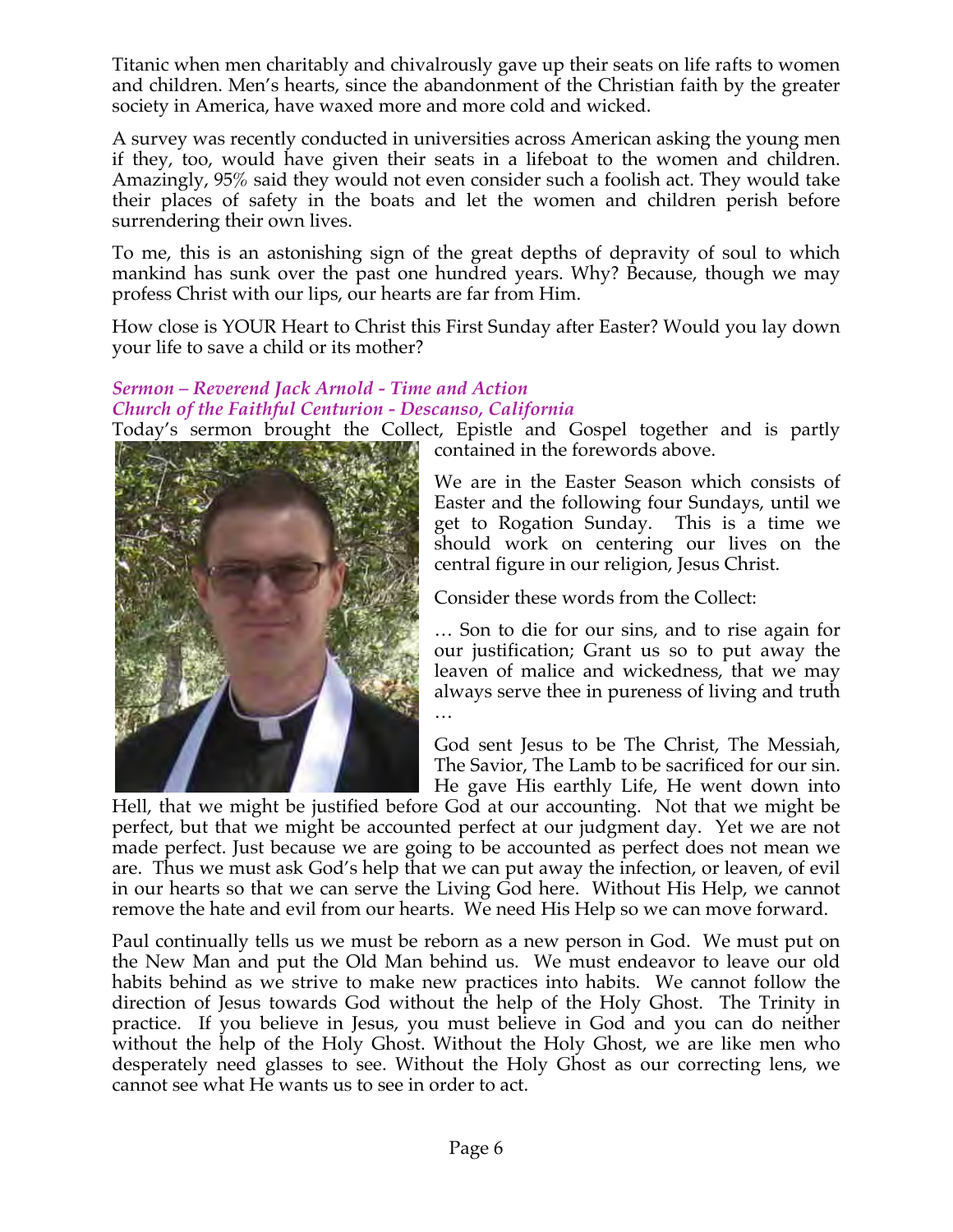Titanic when men charitably and chivalrously gave up their seats on life rafts to women and children. Men's hearts, since the abandonment of the Christian faith by the greater society in America, have waxed more and more cold and wicked.

A survey was recently conducted in universities across American asking the young men if they, too, would have given their seats in a lifeboat to the women and children. Amazingly, 95% said they would not even consider such a foolish act. They would take their places of safety in the boats and let the women and children perish before surrendering their own lives.

To me, this is an astonishing sign of the great depths of depravity of soul to which mankind has sunk over the past one hundred years. Why? Because, though we may profess Christ with our lips, our hearts are far from Him.

How close is YOUR Heart to Christ this First Sunday after Easter? Would you lay down your life to save a child or its mother?

#### *Sermon – Reverend Jack Arnold - Time and Action Church of the Faithful Centurion - Descanso, California*

Today's sermon brought the Collect, Epistle and Gospel together and is partly



contained in the forewords above.

We are in the Easter Season which consists of Easter and the following four Sundays, until we get to Rogation Sunday. This is a time we should work on centering our lives on the central figure in our religion, Jesus Christ.

Consider these words from the Collect:

… Son to die for our sins, and to rise again for our justification; Grant us so to put away the leaven of malice and wickedness, that we may always serve thee in pureness of living and truth …

God sent Jesus to be The Christ, The Messiah, The Savior, The Lamb to be sacrificed for our sin. He gave His earthly Life, He went down into

Hell, that we might be justified before God at our accounting. Not that we might be perfect, but that we might be accounted perfect at our judgment day. Yet we are not made perfect. Just because we are going to be accounted as perfect does not mean we are. Thus we must ask God's help that we can put away the infection, or leaven, of evil in our hearts so that we can serve the Living God here. Without His Help, we cannot remove the hate and evil from our hearts. We need His Help so we can move forward.

Paul continually tells us we must be reborn as a new person in God. We must put on the New Man and put the Old Man behind us. We must endeavor to leave our old habits behind as we strive to make new practices into habits. We cannot follow the direction of Jesus towards God without the help of the Holy Ghost. The Trinity in practice. If you believe in Jesus, you must believe in God and you can do neither without the help of the Holy Ghost. Without the Holy Ghost, we are like men who desperately need glasses to see. Without the Holy Ghost as our correcting lens, we cannot see what He wants us to see in order to act.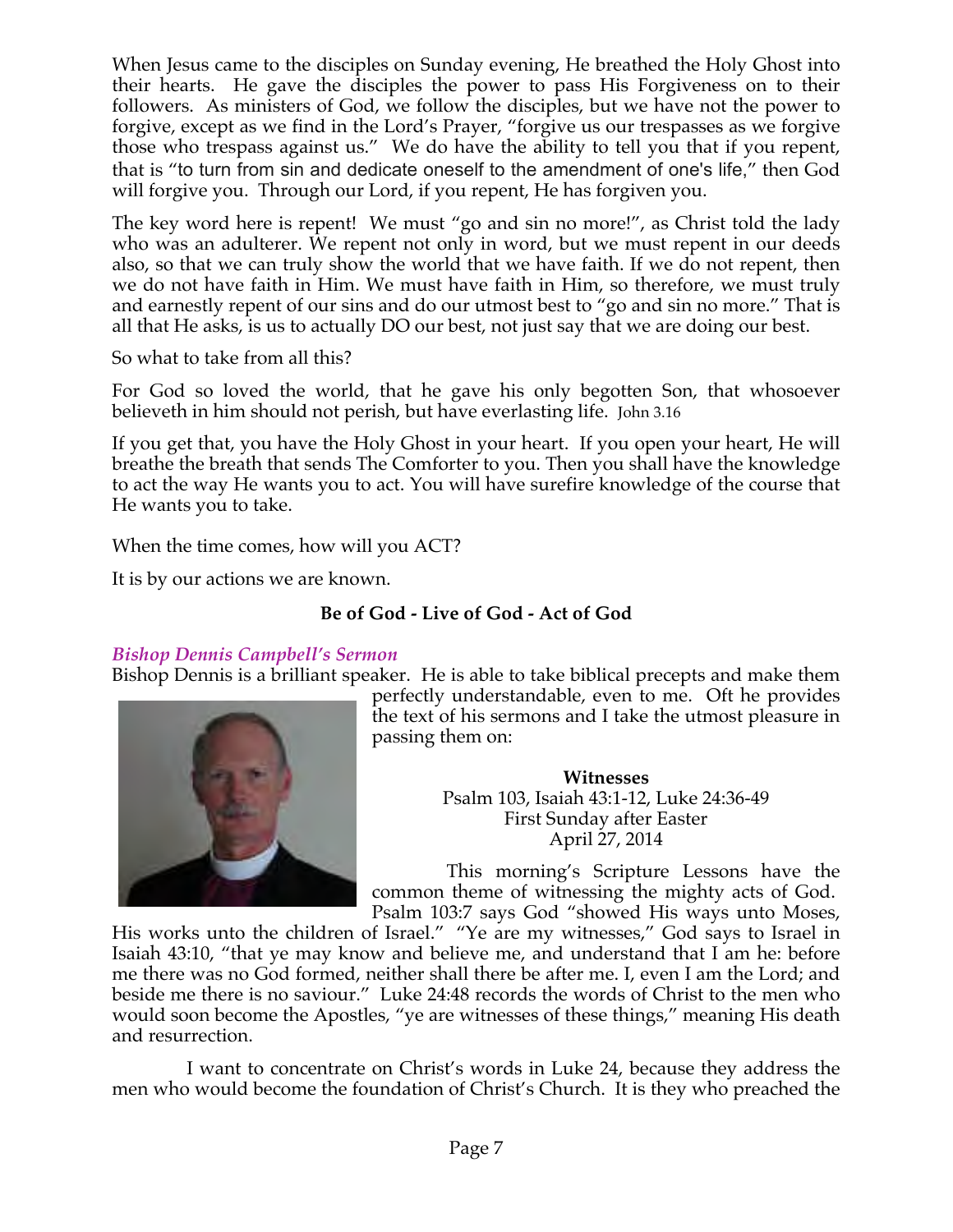When Jesus came to the disciples on Sunday evening, He breathed the Holy Ghost into their hearts. He gave the disciples the power to pass His Forgiveness on to their followers. As ministers of God, we follow the disciples, but we have not the power to forgive, except as we find in the Lord's Prayer, "forgive us our trespasses as we forgive those who trespass against us." We do have the ability to tell you that if you repent, that is "to turn from sin and dedicate oneself to the amendment of one's life," then God will forgive you. Through our Lord, if you repent, He has forgiven you.

The key word here is repent! We must "go and sin no more!", as Christ told the lady who was an adulterer. We repent not only in word, but we must repent in our deeds also, so that we can truly show the world that we have faith. If we do not repent, then we do not have faith in Him. We must have faith in Him, so therefore, we must truly and earnestly repent of our sins and do our utmost best to "go and sin no more." That is all that He asks, is us to actually DO our best, not just say that we are doing our best.

So what to take from all this?

For God so loved the world, that he gave his only begotten Son, that whosoever believeth in him should not perish, but have everlasting life. John 3.16

If you get that, you have the Holy Ghost in your heart. If you open your heart, He will breathe the breath that sends The Comforter to you. Then you shall have the knowledge to act the way He wants you to act. You will have surefire knowledge of the course that He wants you to take.

When the time comes, how will you ACT?

It is by our actions we are known.

# **Be of God - Live of God - Act of God**

# *Bishop Dennis Campbell's Sermon*

Bishop Dennis is a brilliant speaker. He is able to take biblical precepts and make them



perfectly understandable, even to me. Oft he provides the text of his sermons and I take the utmost pleasure in passing them on:

> **Witnesses** Psalm 103, Isaiah 43:1-12, Luke 24:36-49 First Sunday after Easter April 27, 2014

This morning's Scripture Lessons have the common theme of witnessing the mighty acts of God. Psalm 103:7 says God "showed His ways unto Moses,

His works unto the children of Israel." "Ye are my witnesses," God says to Israel in Isaiah 43:10, "that ye may know and believe me, and understand that I am he: before me there was no God formed, neither shall there be after me. I, even I am the Lord; and beside me there is no saviour." Luke 24:48 records the words of Christ to the men who would soon become the Apostles, "ye are witnesses of these things," meaning His death and resurrection.

I want to concentrate on Christ's words in Luke 24, because they address the men who would become the foundation of Christ's Church. It is they who preached the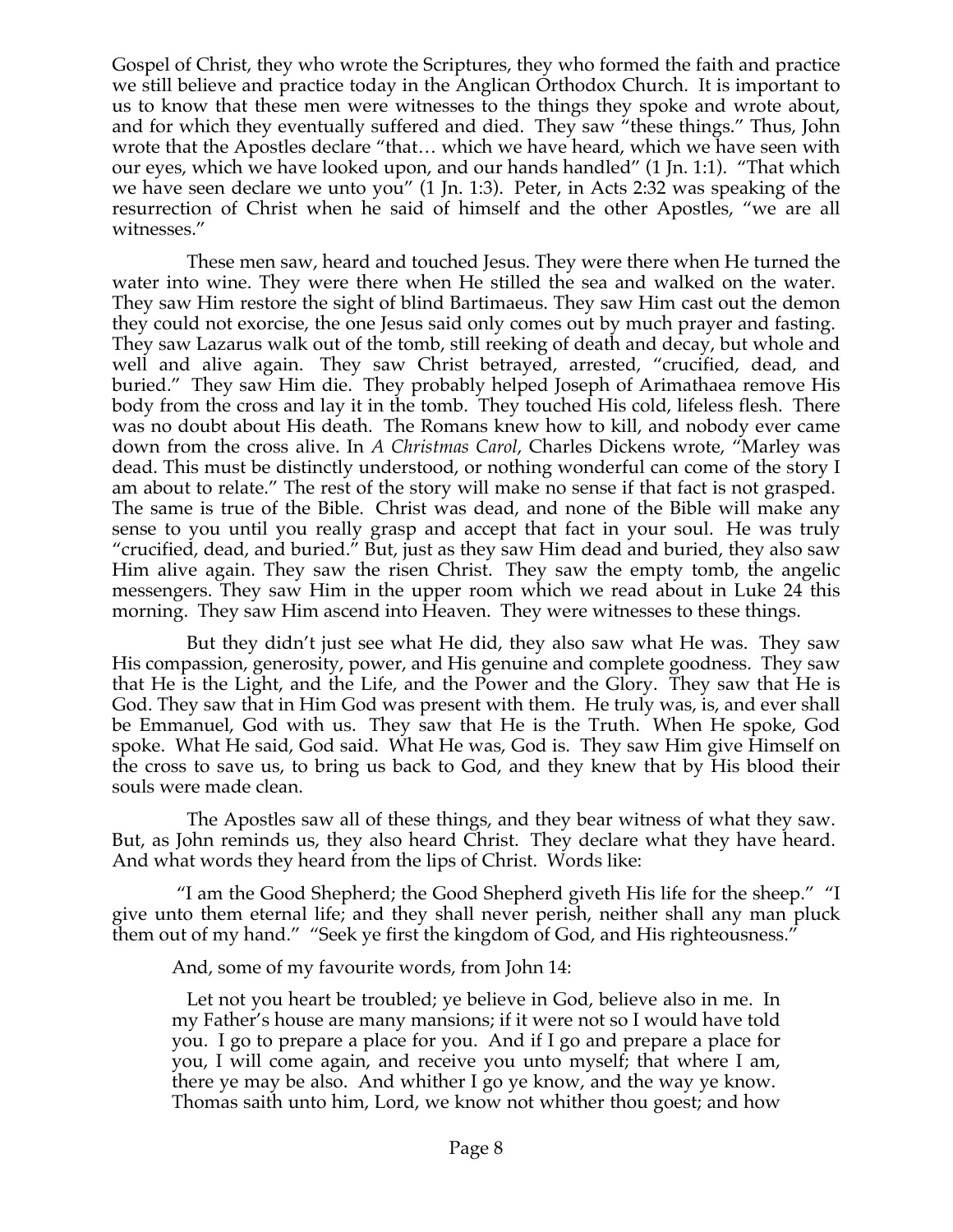Gospel of Christ, they who wrote the Scriptures, they who formed the faith and practice we still believe and practice today in the Anglican Orthodox Church. It is important to us to know that these men were witnesses to the things they spoke and wrote about, and for which they eventually suffered and died. They saw "these things." Thus, John wrote that the Apostles declare "that… which we have heard, which we have seen with our eyes, which we have looked upon, and our hands handled" (1 Jn. 1:1). "That which we have seen declare we unto you" (1 Jn. 1:3). Peter, in Acts 2:32 was speaking of the resurrection of Christ when he said of himself and the other Apostles, "we are all witnesses."

These men saw, heard and touched Jesus. They were there when He turned the water into wine. They were there when He stilled the sea and walked on the water. They saw Him restore the sight of blind Bartimaeus. They saw Him cast out the demon they could not exorcise, the one Jesus said only comes out by much prayer and fasting. They saw Lazarus walk out of the tomb, still reeking of death and decay, but whole and well and alive again. They saw Christ betrayed, arrested, "crucified, dead, and buried." They saw Him die. They probably helped Joseph of Arimathaea remove His body from the cross and lay it in the tomb. They touched His cold, lifeless flesh. There was no doubt about His death. The Romans knew how to kill, and nobody ever came down from the cross alive. In *A Christmas Carol*, Charles Dickens wrote, "Marley was dead. This must be distinctly understood, or nothing wonderful can come of the story I am about to relate." The rest of the story will make no sense if that fact is not grasped. The same is true of the Bible. Christ was dead, and none of the Bible will make any sense to you until you really grasp and accept that fact in your soul. He was truly "crucified, dead, and buried." But, just as they saw Him dead and buried, they also saw Him alive again. They saw the risen Christ. They saw the empty tomb, the angelic messengers. They saw Him in the upper room which we read about in Luke 24 this morning. They saw Him ascend into Heaven. They were witnesses to these things.

But they didn't just see what He did, they also saw what He was. They saw His compassion, generosity, power, and His genuine and complete goodness. They saw that He is the Light, and the Life, and the Power and the Glory. They saw that He is God. They saw that in Him God was present with them. He truly was, is, and ever shall be Emmanuel, God with us. They saw that He is the Truth. When He spoke, God spoke. What He said, God said. What He was, God is. They saw Him give Himself on the cross to save us, to bring us back to God, and they knew that by His blood their souls were made clean.

The Apostles saw all of these things, and they bear witness of what they saw. But, as John reminds us, they also heard Christ. They declare what they have heard. And what words they heard from the lips of Christ. Words like:

"I am the Good Shepherd; the Good Shepherd giveth His life for the sheep." "I give unto them eternal life; and they shall never perish, neither shall any man pluck them out of my hand." "Seek ye first the kingdom of God, and His righteousness."

And, some of my favourite words, from John 14:

Let not you heart be troubled; ye believe in God, believe also in me. In my Father's house are many mansions; if it were not so I would have told you. I go to prepare a place for you. And if I go and prepare a place for you, I will come again, and receive you unto myself; that where I am, there ye may be also. And whither I go ye know, and the way ye know. Thomas saith unto him, Lord, we know not whither thou goest; and how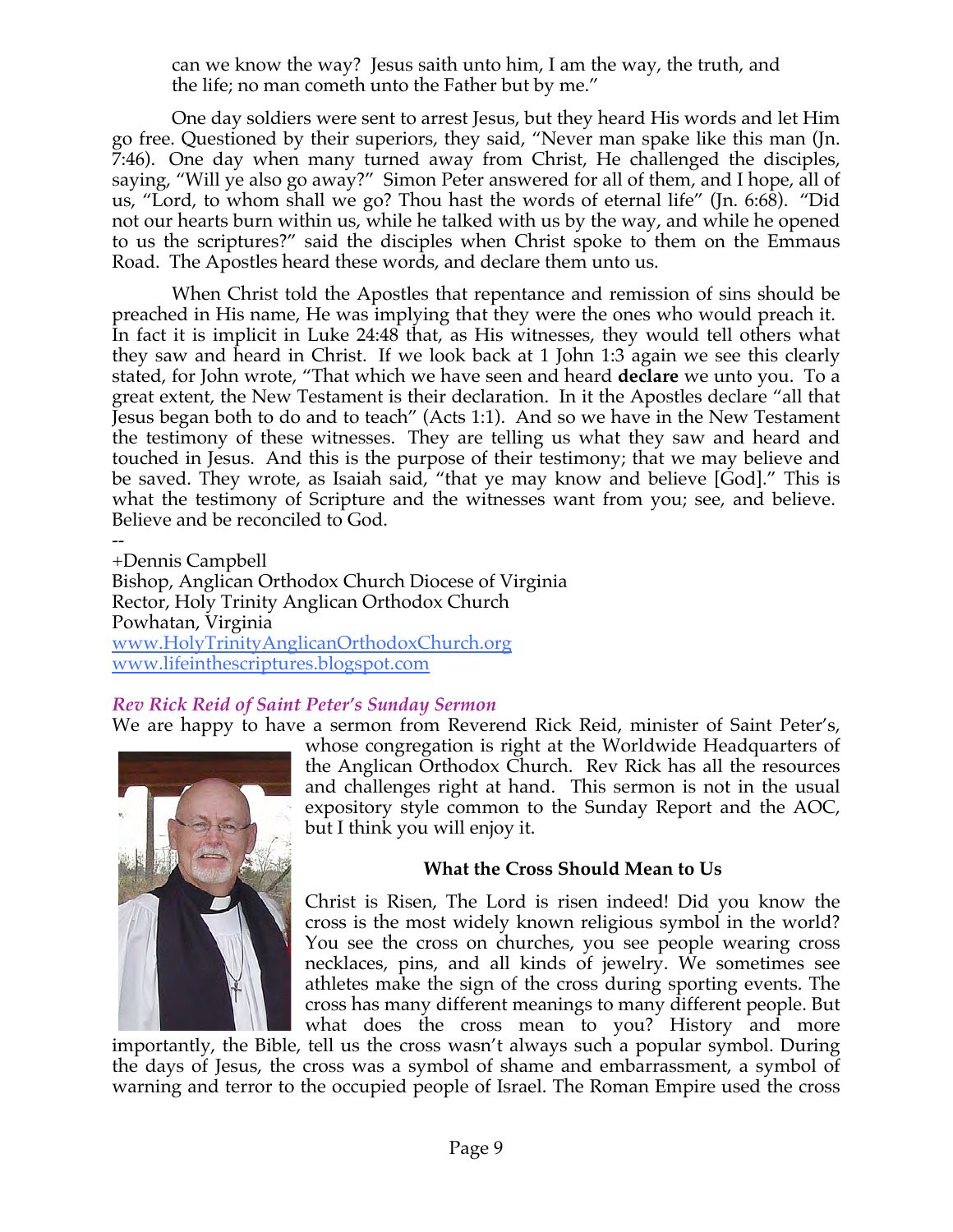can we know the way? Jesus saith unto him, I am the way, the truth, and the life; no man cometh unto the Father but by me."

One day soldiers were sent to arrest Jesus, but they heard His words and let Him go free. Questioned by their superiors, they said, "Never man spake like this man (Jn. 7:46). One day when many turned away from Christ, He challenged the disciples, saying, "Will ye also go away?" Simon Peter answered for all of them, and I hope, all of us, "Lord, to whom shall we go? Thou hast the words of eternal life" (Jn. 6:68). "Did not our hearts burn within us, while he talked with us by the way, and while he opened to us the scriptures?" said the disciples when Christ spoke to them on the Emmaus Road. The Apostles heard these words, and declare them unto us.

When Christ told the Apostles that repentance and remission of sins should be preached in His name, He was implying that they were the ones who would preach it. In fact it is implicit in Luke 24:48 that, as His witnesses, they would tell others what they saw and heard in Christ. If we look back at 1 John 1:3 again we see this clearly stated, for John wrote, "That which we have seen and heard **declare** we unto you. To a great extent, the New Testament is their declaration. In it the Apostles declare "all that Jesus began both to do and to teach" (Acts 1:1). And so we have in the New Testament the testimony of these witnesses. They are telling us what they saw and heard and touched in Jesus. And this is the purpose of their testimony; that we may believe and be saved. They wrote, as Isaiah said, "that ye may know and believe [God]." This is what the testimony of Scripture and the witnesses want from you; see, and believe. Believe and be reconciled to God.

-- +Dennis Campbell Bishop, Anglican Orthodox Church Diocese of Virginia Rector, Holy Trinity Anglican Orthodox Church Powhatan, Virginia www.HolyTrinityAnglicanOrthodoxChurch.org www.lifeinthescriptures.blogspot.com

### *Rev Rick Reid of Saint Peter's Sunday Sermon*

We are happy to have a sermon from Reverend Rick Reid, minister of Saint Peter's,



whose congregation is right at the Worldwide Headquarters of the Anglican Orthodox Church. Rev Rick has all the resources and challenges right at hand. This sermon is not in the usual expository style common to the Sunday Report and the AOC, but I think you will enjoy it.

### **What the Cross Should Mean to Us**

Christ is Risen, The Lord is risen indeed! Did you know the cross is the most widely known religious symbol in the world? You see the cross on churches, you see people wearing cross necklaces, pins, and all kinds of jewelry. We sometimes see athletes make the sign of the cross during sporting events. The cross has many different meanings to many different people. But what does the cross mean to you? History and more

importantly, the Bible, tell us the cross wasn't always such a popular symbol. During the days of Jesus, the cross was a symbol of shame and embarrassment, a symbol of warning and terror to the occupied people of Israel. The Roman Empire used the cross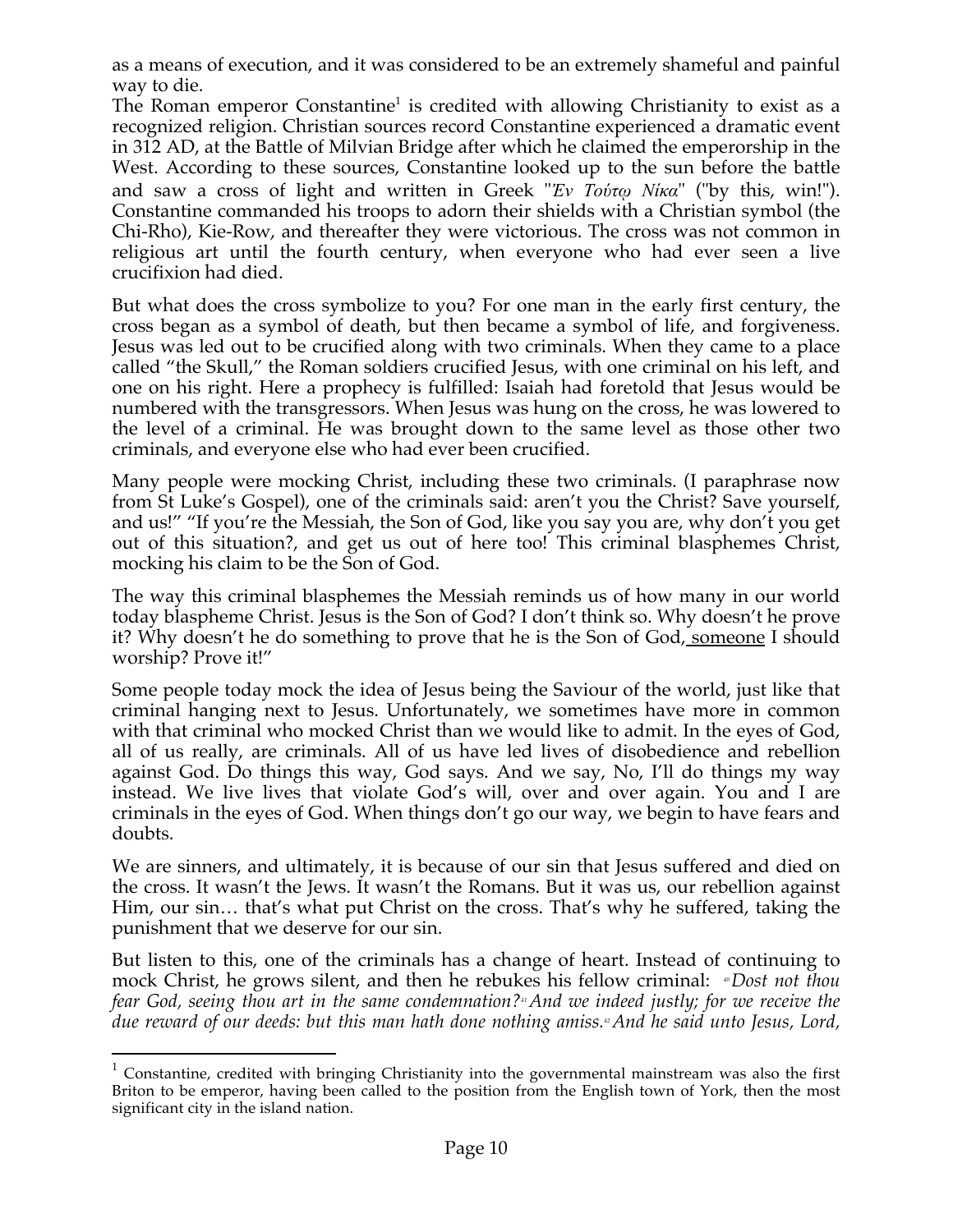as a means of execution, and it was considered to be an extremely shameful and painful way to die.

The Roman emperor Constantine<sup>1</sup> is credited with allowing Christianity to exist as a recognized religion. Christian sources record Constantine experienced a dramatic event in 312 AD, at the Battle of Milvian Bridge after which he claimed the emperorship in the West. According to these sources, Constantine looked up to the sun before the battle and saw a cross of light and written in Greek "*Ἐν Τούτῳ Νίκα*" ("by this, win!"). Constantine commanded his troops to adorn their shields with a Christian symbol (the Chi-Rho), Kie-Row, and thereafter they were victorious. The cross was not common in religious art until the fourth century, when everyone who had ever seen a live crucifixion had died.

But what does the cross symbolize to you? For one man in the early first century, the cross began as a symbol of death, but then became a symbol of life, and forgiveness. Jesus was led out to be crucified along with two criminals. When they came to a place called "the Skull," the Roman soldiers crucified Jesus, with one criminal on his left, and one on his right. Here a prophecy is fulfilled: Isaiah had foretold that Jesus would be numbered with the transgressors. When Jesus was hung on the cross, he was lowered to the level of a criminal. He was brought down to the same level as those other two criminals, and everyone else who had ever been crucified.

Many people were mocking Christ, including these two criminals. (I paraphrase now from St Luke's Gospel), one of the criminals said: aren't you the Christ? Save yourself, and us!" "If you're the Messiah, the Son of God, like you say you are, why don't you get out of this situation?, and get us out of here too! This criminal blasphemes Christ, mocking his claim to be the Son of God.

The way this criminal blasphemes the Messiah reminds us of how many in our world today blaspheme Christ. Jesus is the Son of God? I don't think so. Why doesn't he prove it? Why doesn't he do something to prove that he is the Son of God, someone I should worship? Prove it!"

Some people today mock the idea of Jesus being the Saviour of the world, just like that criminal hanging next to Jesus. Unfortunately, we sometimes have more in common with that criminal who mocked Christ than we would like to admit. In the eyes of God, all of us really, are criminals. All of us have led lives of disobedience and rebellion against God. Do things this way, God says. And we say, No, I'll do things my way instead. We live lives that violate God's will, over and over again. You and I are criminals in the eyes of God. When things don't go our way, we begin to have fears and doubts.

We are sinners, and ultimately, it is because of our sin that Jesus suffered and died on the cross. It wasn't the Jews. It wasn't the Romans. But it was us, our rebellion against Him, our sin… that's what put Christ on the cross. That's why he suffered, taking the punishment that we deserve for our sin.

But listen to this, one of the criminals has a change of heart. Instead of continuing to mock Christ, he grows silent, and then he rebukes his fellow criminal: *<sup>40</sup>Dost not thou fear God, seeing thou art in the same condemnation?41And we indeed justly; for we receive the*  due reward of our deeds: but this man hath done nothing amiss.<sup>4</sup> And he said unto Jesus, Lord,

 $1$  Constantine, credited with bringing Christianity into the governmental mainstream was also the first Briton to be emperor, having been called to the position from the English town of York, then the most significant city in the island nation.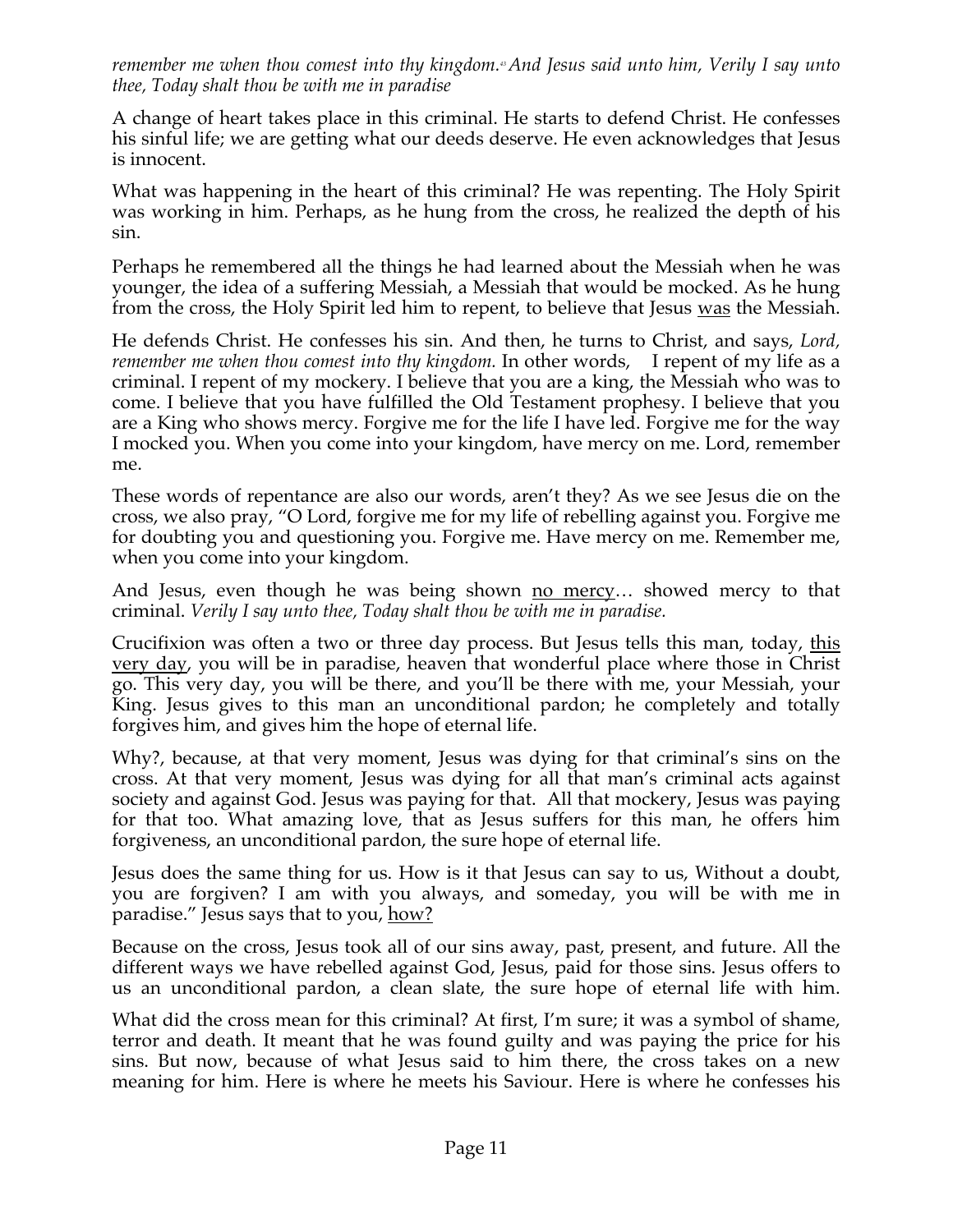*remember me when thou comest into thy kingdom.43And Jesus said unto him, Verily I say unto thee, Today shalt thou be with me in paradise*

A change of heart takes place in this criminal. He starts to defend Christ. He confesses his sinful life; we are getting what our deeds deserve. He even acknowledges that Jesus is innocent.

What was happening in the heart of this criminal? He was repenting. The Holy Spirit was working in him. Perhaps, as he hung from the cross, he realized the depth of his sin.

Perhaps he remembered all the things he had learned about the Messiah when he was younger, the idea of a suffering Messiah, a Messiah that would be mocked. As he hung from the cross, the Holy Spirit led him to repent, to believe that Jesus was the Messiah.

He defends Christ. He confesses his sin. And then, he turns to Christ, and says, *Lord, remember me when thou comest into thy kingdom*. In other words, I repent of my life as a criminal. I repent of my mockery. I believe that you are a king, the Messiah who was to come. I believe that you have fulfilled the Old Testament prophesy. I believe that you are a King who shows mercy. Forgive me for the life I have led. Forgive me for the way I mocked you. When you come into your kingdom, have mercy on me. Lord, remember me.

These words of repentance are also our words, aren't they? As we see Jesus die on the cross, we also pray, "O Lord, forgive me for my life of rebelling against you. Forgive me for doubting you and questioning you. Forgive me. Have mercy on me. Remember me, when you come into your kingdom.

And Jesus, even though he was being shown no mercy... showed mercy to that criminal. *Verily I say unto thee, Today shalt thou be with me in paradise.*

Crucifixion was often a two or three day process. But Jesus tells this man, today, this very day, you will be in paradise, heaven that wonderful place where those in Christ go. This very day, you will be there, and you'll be there with me, your Messiah, your King. Jesus gives to this man an unconditional pardon; he completely and totally forgives him, and gives him the hope of eternal life.

Why?, because, at that very moment, Jesus was dying for that criminal's sins on the cross. At that very moment, Jesus was dying for all that man's criminal acts against society and against God. Jesus was paying for that. All that mockery, Jesus was paying for that too. What amazing love, that as Jesus suffers for this man, he offers him forgiveness, an unconditional pardon, the sure hope of eternal life.

Jesus does the same thing for us. How is it that Jesus can say to us, Without a doubt, you are forgiven? I am with you always, and someday, you will be with me in paradise." Jesus says that to you, how?

Because on the cross, Jesus took all of our sins away, past, present, and future. All the different ways we have rebelled against God, Jesus, paid for those sins. Jesus offers to us an unconditional pardon, a clean slate, the sure hope of eternal life with him.

What did the cross mean for this criminal? At first, I'm sure; it was a symbol of shame, terror and death. It meant that he was found guilty and was paying the price for his sins. But now, because of what Jesus said to him there, the cross takes on a new meaning for him. Here is where he meets his Saviour. Here is where he confesses his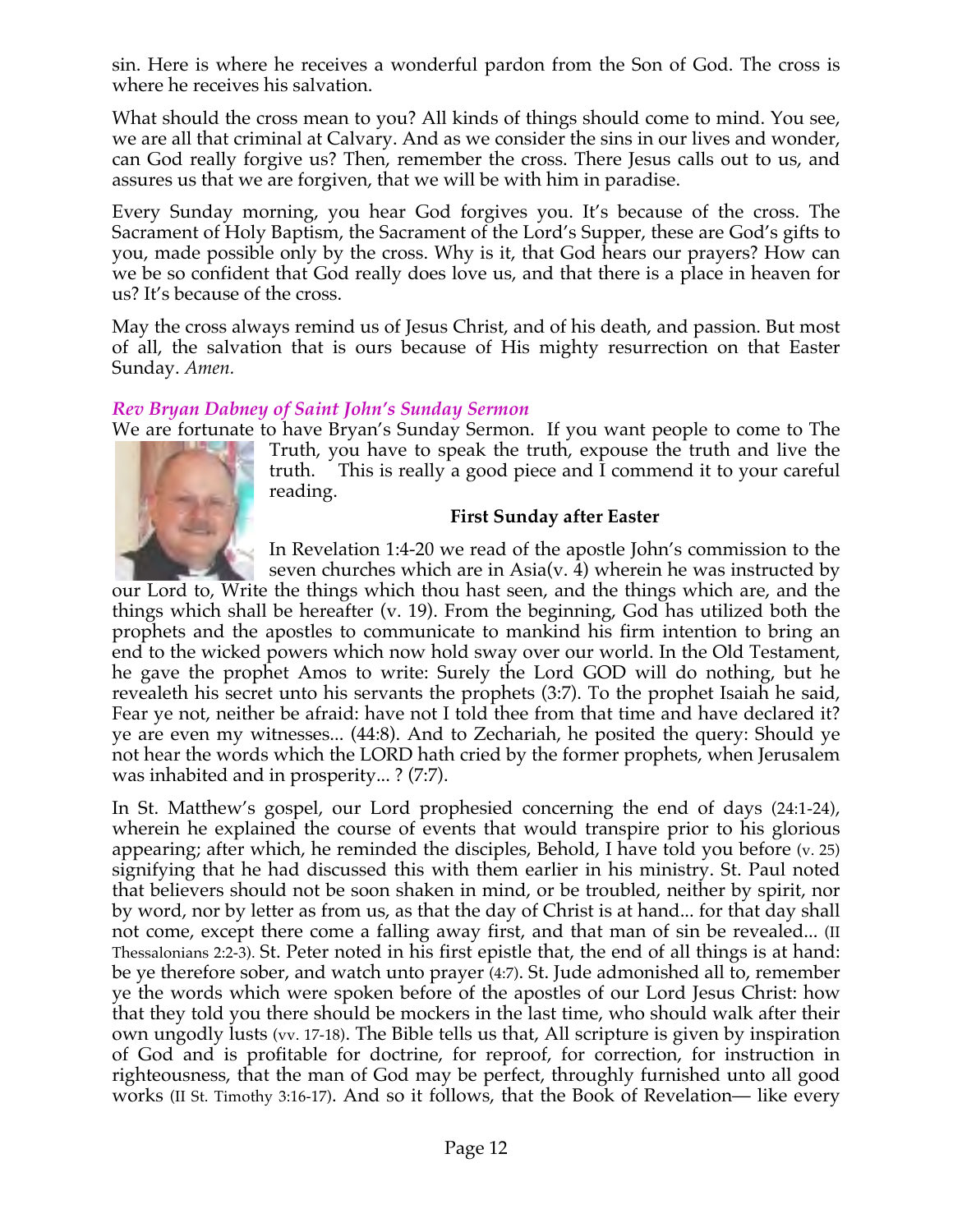sin. Here is where he receives a wonderful pardon from the Son of God. The cross is where he receives his salvation.

What should the cross mean to you? All kinds of things should come to mind. You see, we are all that criminal at Calvary. And as we consider the sins in our lives and wonder, can God really forgive us? Then, remember the cross. There Jesus calls out to us, and assures us that we are forgiven, that we will be with him in paradise.

Every Sunday morning, you hear God forgives you. It's because of the cross. The Sacrament of Holy Baptism, the Sacrament of the Lord's Supper, these are God's gifts to you, made possible only by the cross. Why is it, that God hears our prayers? How can we be so confident that God really does love us, and that there is a place in heaven for us? It's because of the cross.

May the cross always remind us of Jesus Christ, and of his death, and passion. But most of all, the salvation that is ours because of His mighty resurrection on that Easter Sunday. *Amen.*

### *Rev Bryan Dabney of Saint John's Sunday Sermon*

We are fortunate to have Bryan's Sunday Sermon. If you want people to come to The



Truth, you have to speak the truth, expouse the truth and live the truth. This is really a good piece and I commend it to your careful reading.

### **First Sunday after Easter**

In Revelation 1:4-20 we read of the apostle John's commission to the seven churches which are in Asia(v. 4) wherein he was instructed by

our Lord to, Write the things which thou hast seen, and the things which are, and the things which shall be hereafter (v. 19). From the beginning, God has utilized both the prophets and the apostles to communicate to mankind his firm intention to bring an end to the wicked powers which now hold sway over our world. In the Old Testament, he gave the prophet Amos to write: Surely the Lord GOD will do nothing, but he revealeth his secret unto his servants the prophets (3:7). To the prophet Isaiah he said, Fear ye not, neither be afraid: have not I told thee from that time and have declared it? ye are even my witnesses... (44:8). And to Zechariah, he posited the query: Should ye not hear the words which the LORD hath cried by the former prophets, when Jerusalem was inhabited and in prosperity... ? (7:7).

In St. Matthew's gospel, our Lord prophesied concerning the end of days (24:1-24), wherein he explained the course of events that would transpire prior to his glorious appearing; after which, he reminded the disciples, Behold, I have told you before (v. 25) signifying that he had discussed this with them earlier in his ministry. St. Paul noted that believers should not be soon shaken in mind, or be troubled, neither by spirit, nor by word, nor by letter as from us, as that the day of Christ is at hand... for that day shall not come, except there come a falling away first, and that man of sin be revealed... (II Thessalonians 2:2-3). St. Peter noted in his first epistle that, the end of all things is at hand: be ye therefore sober, and watch unto prayer (4:7). St. Jude admonished all to, remember ye the words which were spoken before of the apostles of our Lord Jesus Christ: how that they told you there should be mockers in the last time, who should walk after their own ungodly lusts (vv. 17-18). The Bible tells us that, All scripture is given by inspiration of God and is profitable for doctrine, for reproof, for correction, for instruction in righteousness, that the man of God may be perfect, throughly furnished unto all good works (II St. Timothy 3:16-17). And so it follows, that the Book of Revelation— like every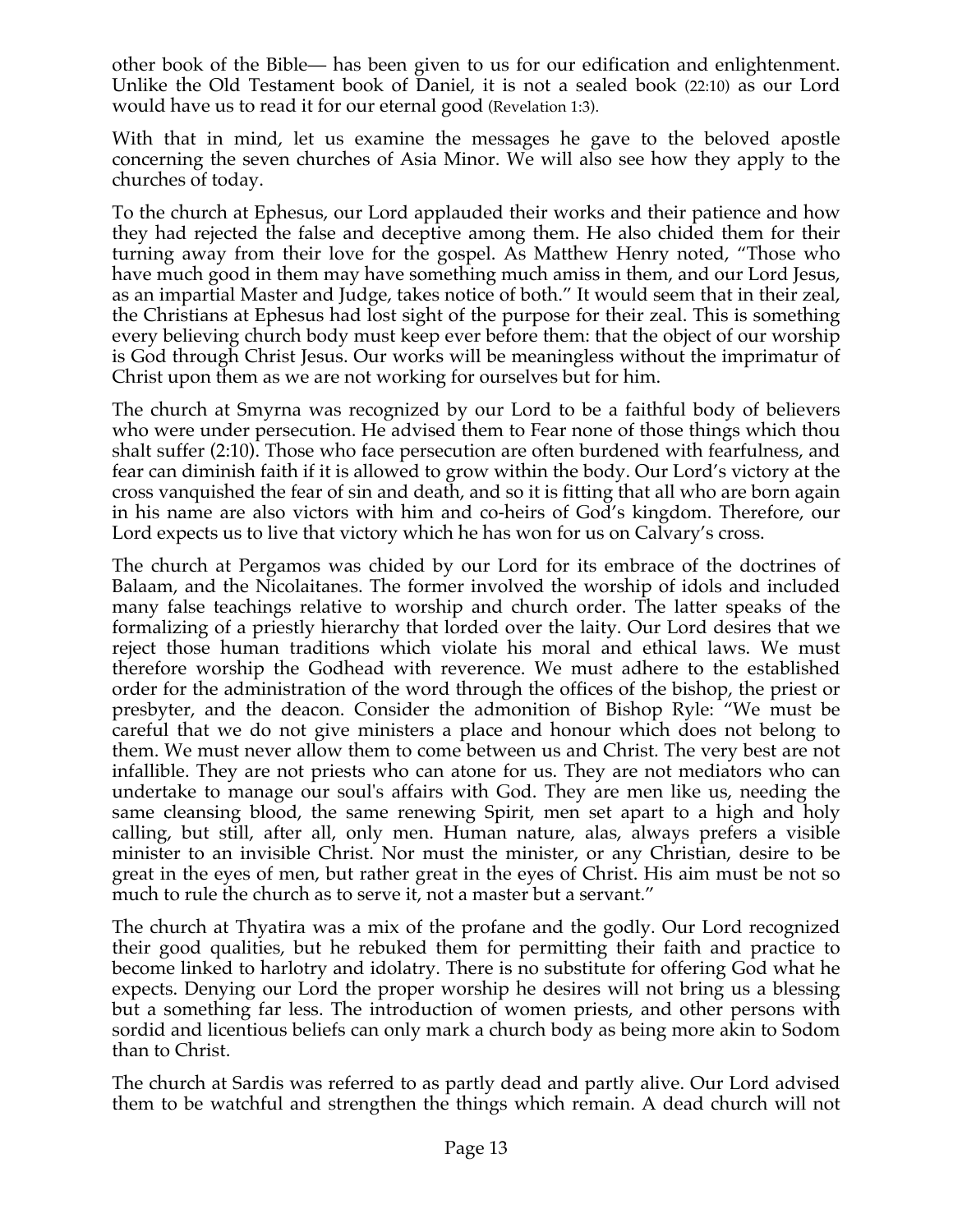other book of the Bible— has been given to us for our edification and enlightenment. Unlike the Old Testament book of Daniel, it is not a sealed book (22:10) as our Lord would have us to read it for our eternal good (Revelation 1:3).

With that in mind, let us examine the messages he gave to the beloved apostle concerning the seven churches of Asia Minor. We will also see how they apply to the churches of today.

To the church at Ephesus, our Lord applauded their works and their patience and how they had rejected the false and deceptive among them. He also chided them for their turning away from their love for the gospel. As Matthew Henry noted, "Those who have much good in them may have something much amiss in them, and our Lord Jesus, as an impartial Master and Judge, takes notice of both." It would seem that in their zeal, the Christians at Ephesus had lost sight of the purpose for their zeal. This is something every believing church body must keep ever before them: that the object of our worship is God through Christ Jesus. Our works will be meaningless without the imprimatur of Christ upon them as we are not working for ourselves but for him.

The church at Smyrna was recognized by our Lord to be a faithful body of believers who were under persecution. He advised them to Fear none of those things which thou shalt suffer (2:10). Those who face persecution are often burdened with fearfulness, and fear can diminish faith if it is allowed to grow within the body. Our Lord's victory at the cross vanquished the fear of sin and death, and so it is fitting that all who are born again in his name are also victors with him and co-heirs of God's kingdom. Therefore, our Lord expects us to live that victory which he has won for us on Calvary's cross.

The church at Pergamos was chided by our Lord for its embrace of the doctrines of Balaam, and the Nicolaitanes. The former involved the worship of idols and included many false teachings relative to worship and church order. The latter speaks of the formalizing of a priestly hierarchy that lorded over the laity. Our Lord desires that we reject those human traditions which violate his moral and ethical laws. We must therefore worship the Godhead with reverence. We must adhere to the established order for the administration of the word through the offices of the bishop, the priest or presbyter, and the deacon. Consider the admonition of Bishop Ryle: "We must be careful that we do not give ministers a place and honour which does not belong to them. We must never allow them to come between us and Christ. The very best are not infallible. They are not priests who can atone for us. They are not mediators who can undertake to manage our soul's affairs with God. They are men like us, needing the same cleansing blood, the same renewing Spirit, men set apart to a high and holy calling, but still, after all, only men. Human nature, alas, always prefers a visible minister to an invisible Christ. Nor must the minister, or any Christian, desire to be great in the eyes of men, but rather great in the eyes of Christ. His aim must be not so much to rule the church as to serve it, not a master but a servant."

The church at Thyatira was a mix of the profane and the godly. Our Lord recognized their good qualities, but he rebuked them for permitting their faith and practice to become linked to harlotry and idolatry. There is no substitute for offering God what he expects. Denying our Lord the proper worship he desires will not bring us a blessing but a something far less. The introduction of women priests, and other persons with sordid and licentious beliefs can only mark a church body as being more akin to Sodom than to Christ.

The church at Sardis was referred to as partly dead and partly alive. Our Lord advised them to be watchful and strengthen the things which remain. A dead church will not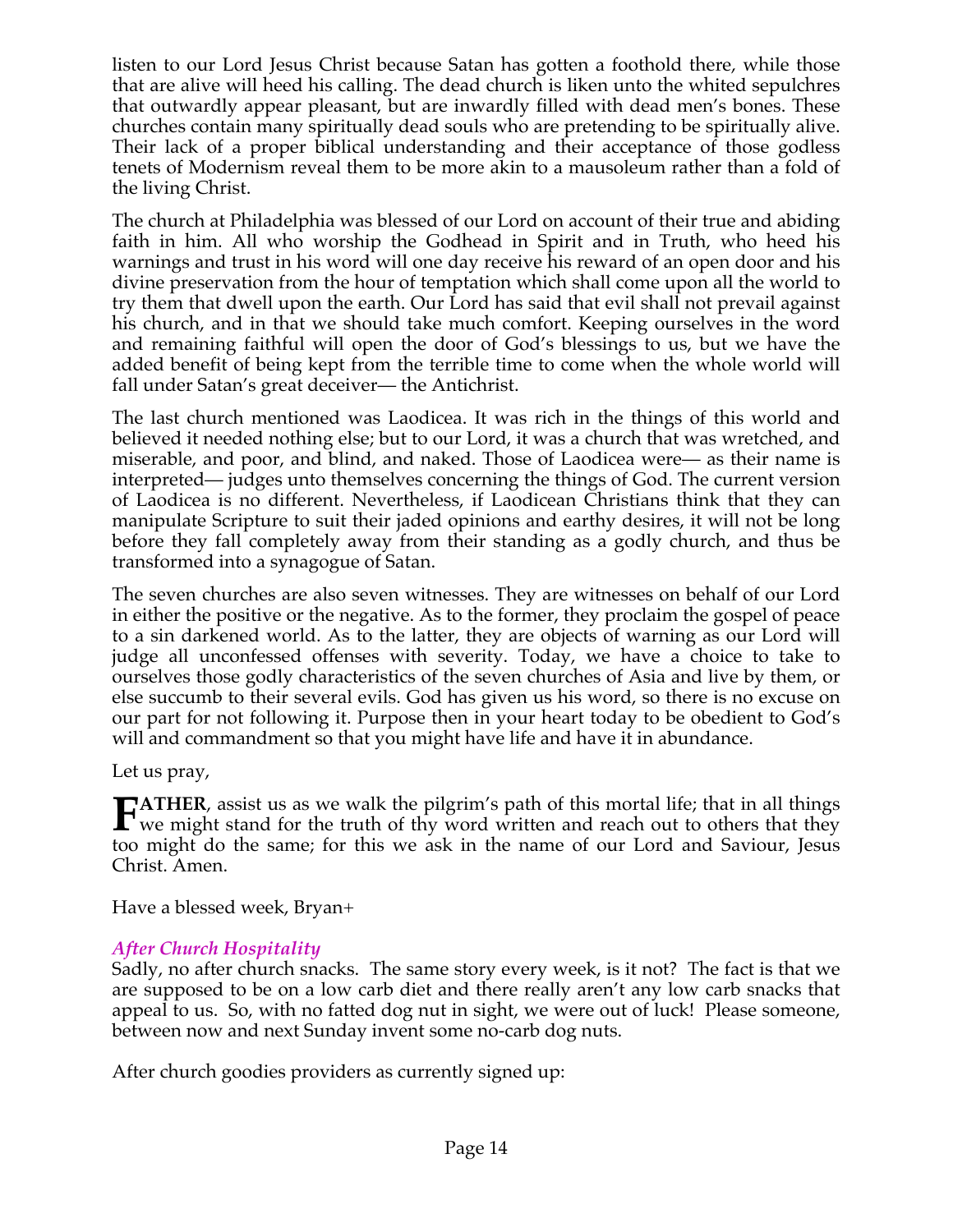listen to our Lord Jesus Christ because Satan has gotten a foothold there, while those that are alive will heed his calling. The dead church is liken unto the whited sepulchres that outwardly appear pleasant, but are inwardly filled with dead men's bones. These churches contain many spiritually dead souls who are pretending to be spiritually alive. Their lack of a proper biblical understanding and their acceptance of those godless tenets of Modernism reveal them to be more akin to a mausoleum rather than a fold of the living Christ.

The church at Philadelphia was blessed of our Lord on account of their true and abiding faith in him. All who worship the Godhead in Spirit and in Truth, who heed his warnings and trust in his word will one day receive his reward of an open door and his divine preservation from the hour of temptation which shall come upon all the world to try them that dwell upon the earth. Our Lord has said that evil shall not prevail against his church, and in that we should take much comfort. Keeping ourselves in the word and remaining faithful will open the door of God's blessings to us, but we have the added benefit of being kept from the terrible time to come when the whole world will fall under Satan's great deceiver— the Antichrist.

The last church mentioned was Laodicea. It was rich in the things of this world and believed it needed nothing else; but to our Lord, it was a church that was wretched, and miserable, and poor, and blind, and naked. Those of Laodicea were— as their name is interpreted— judges unto themselves concerning the things of God. The current version of Laodicea is no different. Nevertheless, if Laodicean Christians think that they can manipulate Scripture to suit their jaded opinions and earthy desires, it will not be long before they fall completely away from their standing as a godly church, and thus be transformed into a synagogue of Satan.

The seven churches are also seven witnesses. They are witnesses on behalf of our Lord in either the positive or the negative. As to the former, they proclaim the gospel of peace to a sin darkened world. As to the latter, they are objects of warning as our Lord will judge all unconfessed offenses with severity. Today, we have a choice to take to ourselves those godly characteristics of the seven churches of Asia and live by them, or else succumb to their several evils. God has given us his word, so there is no excuse on our part for not following it. Purpose then in your heart today to be obedient to God's will and commandment so that you might have life and have it in abundance.

Let us pray,

**ATHER**, assist us as we walk the pilgrim's path of this mortal life; that in all things **FATHER**, assist us as we walk the pilgrim's path of this mortal life; that in all things we might stand for the truth of thy word written and reach out to others that they too might do the same; for this we ask in the name of our Lord and Saviour, Jesus Christ. Amen.

Have a blessed week, Bryan+

# *After Church Hospitality*

Sadly, no after church snacks. The same story every week, is it not? The fact is that we are supposed to be on a low carb diet and there really aren't any low carb snacks that appeal to us. So, with no fatted dog nut in sight, we were out of luck! Please someone, between now and next Sunday invent some no-carb dog nuts.

After church goodies providers as currently signed up: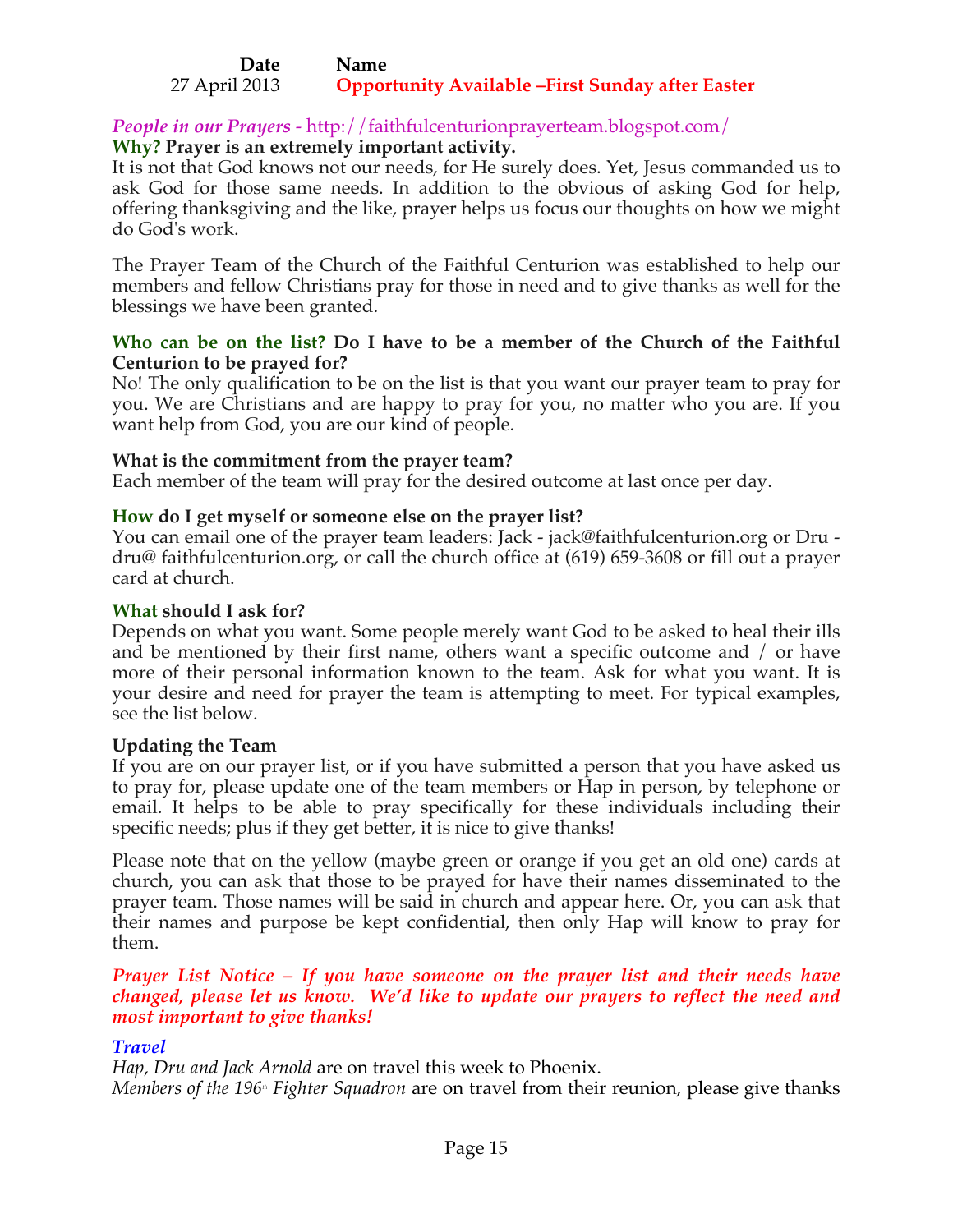#### **Date Name** 27 April 2013 **Opportunity Available –First Sunday after Easter**

# *People in our Prayers* - http://faithfulcenturionprayerteam.blogspot.com/

### **Why? Prayer is an extremely important activity.**

It is not that God knows not our needs, for He surely does. Yet, Jesus commanded us to ask God for those same needs. In addition to the obvious of asking God for help, offering thanksgiving and the like, prayer helps us focus our thoughts on how we might do God's work.

The Prayer Team of the Church of the Faithful Centurion was established to help our members and fellow Christians pray for those in need and to give thanks as well for the blessings we have been granted.

### **Who can be on the list? Do I have to be a member of the Church of the Faithful Centurion to be prayed for?**

No! The only qualification to be on the list is that you want our prayer team to pray for you. We are Christians and are happy to pray for you, no matter who you are. If you want help from God, you are our kind of people.

### **What is the commitment from the prayer team?**

Each member of the team will pray for the desired outcome at last once per day.

### **How do I get myself or someone else on the prayer list?**

You can email one of the prayer team leaders: Jack - jack@faithfulcenturion.org or Dru dru@ faithfulcenturion.org, or call the church office at (619) 659-3608 or fill out a prayer card at church.

### **What should I ask for?**

Depends on what you want. Some people merely want God to be asked to heal their ills and be mentioned by their first name, others want a specific outcome and / or have more of their personal information known to the team. Ask for what you want. It is your desire and need for prayer the team is attempting to meet. For typical examples, see the list below.

### **Updating the Team**

If you are on our prayer list, or if you have submitted a person that you have asked us to pray for, please update one of the team members or Hap in person, by telephone or email. It helps to be able to pray specifically for these individuals including their specific needs; plus if they get better, it is nice to give thanks!

Please note that on the yellow (maybe green or orange if you get an old one) cards at church, you can ask that those to be prayed for have their names disseminated to the prayer team. Those names will be said in church and appear here. Or, you can ask that their names and purpose be kept confidential, then only Hap will know to pray for them.

### *Prayer List Notice – If you have someone on the prayer list and their needs have changed, please let us know. We'd like to update our prayers to reflect the need and most important to give thanks!*

### *Travel*

*Hap, Dru and Jack Arnold* are on travel this week to Phoenix. *Members of the 196<sup>\*</sup> Fighter Squadron* are on travel from their reunion, please give thanks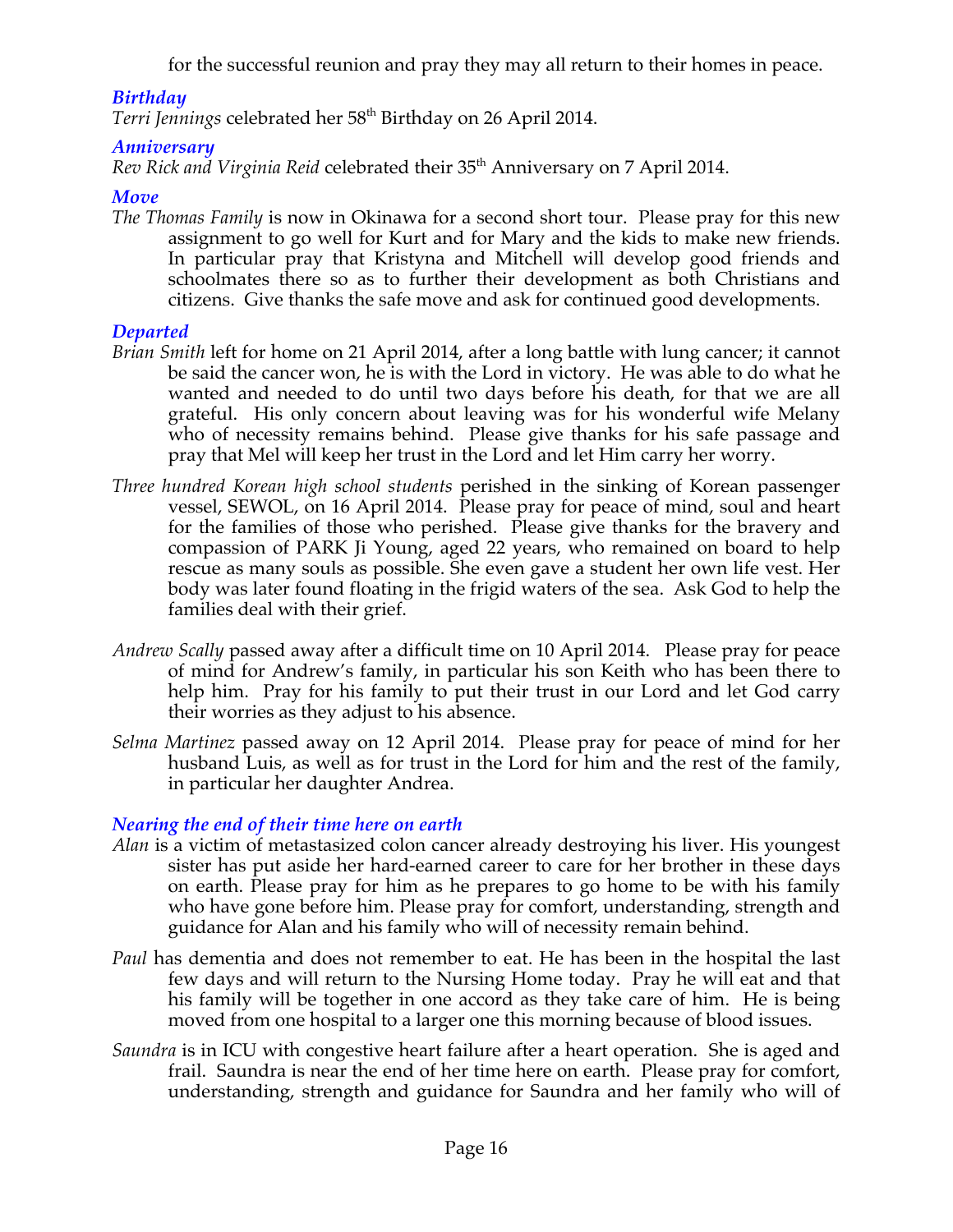for the successful reunion and pray they may all return to their homes in peace.

# *Birthday*

Terri Jennings celebrated her 58<sup>th</sup> Birthday on 26 April 2014.

# *Anniversary*

*Rev Rick and Virginia Reid* celebrated their 35<sup>th</sup> Anniversary on 7 April 2014.

# *Move*

*The Thomas Family* is now in Okinawa for a second short tour. Please pray for this new assignment to go well for Kurt and for Mary and the kids to make new friends. In particular pray that Kristyna and Mitchell will develop good friends and schoolmates there so as to further their development as both Christians and citizens. Give thanks the safe move and ask for continued good developments.

# *Departed*

- *Brian Smith* left for home on 21 April 2014, after a long battle with lung cancer; it cannot be said the cancer won, he is with the Lord in victory. He was able to do what he wanted and needed to do until two days before his death, for that we are all grateful. His only concern about leaving was for his wonderful wife Melany who of necessity remains behind. Please give thanks for his safe passage and pray that Mel will keep her trust in the Lord and let Him carry her worry.
- *Three hundred Korean high school students* perished in the sinking of Korean passenger vessel, SEWOL, on 16 April 2014. Please pray for peace of mind, soul and heart for the families of those who perished. Please give thanks for the bravery and compassion of PARK Ji Young, aged 22 years, who remained on board to help rescue as many souls as possible. She even gave a student her own life vest. Her body was later found floating in the frigid waters of the sea. Ask God to help the families deal with their grief.
- *Andrew Scally* passed away after a difficult time on 10 April 2014. Please pray for peace of mind for Andrew's family, in particular his son Keith who has been there to help him. Pray for his family to put their trust in our Lord and let God carry their worries as they adjust to his absence.
- *Selma Martinez* passed away on 12 April 2014. Please pray for peace of mind for her husband Luis, as well as for trust in the Lord for him and the rest of the family, in particular her daughter Andrea.

# *Nearing the end of their time here on earth*

- *Alan* is a victim of metastasized colon cancer already destroying his liver. His youngest sister has put aside her hard-earned career to care for her brother in these days on earth. Please pray for him as he prepares to go home to be with his family who have gone before him. Please pray for comfort, understanding, strength and guidance for Alan and his family who will of necessity remain behind.
- *Paul* has dementia and does not remember to eat. He has been in the hospital the last few days and will return to the Nursing Home today. Pray he will eat and that his family will be together in one accord as they take care of him. He is being moved from one hospital to a larger one this morning because of blood issues.
- *Saundra* is in ICU with congestive heart failure after a heart operation. She is aged and frail. Saundra is near the end of her time here on earth. Please pray for comfort, understanding, strength and guidance for Saundra and her family who will of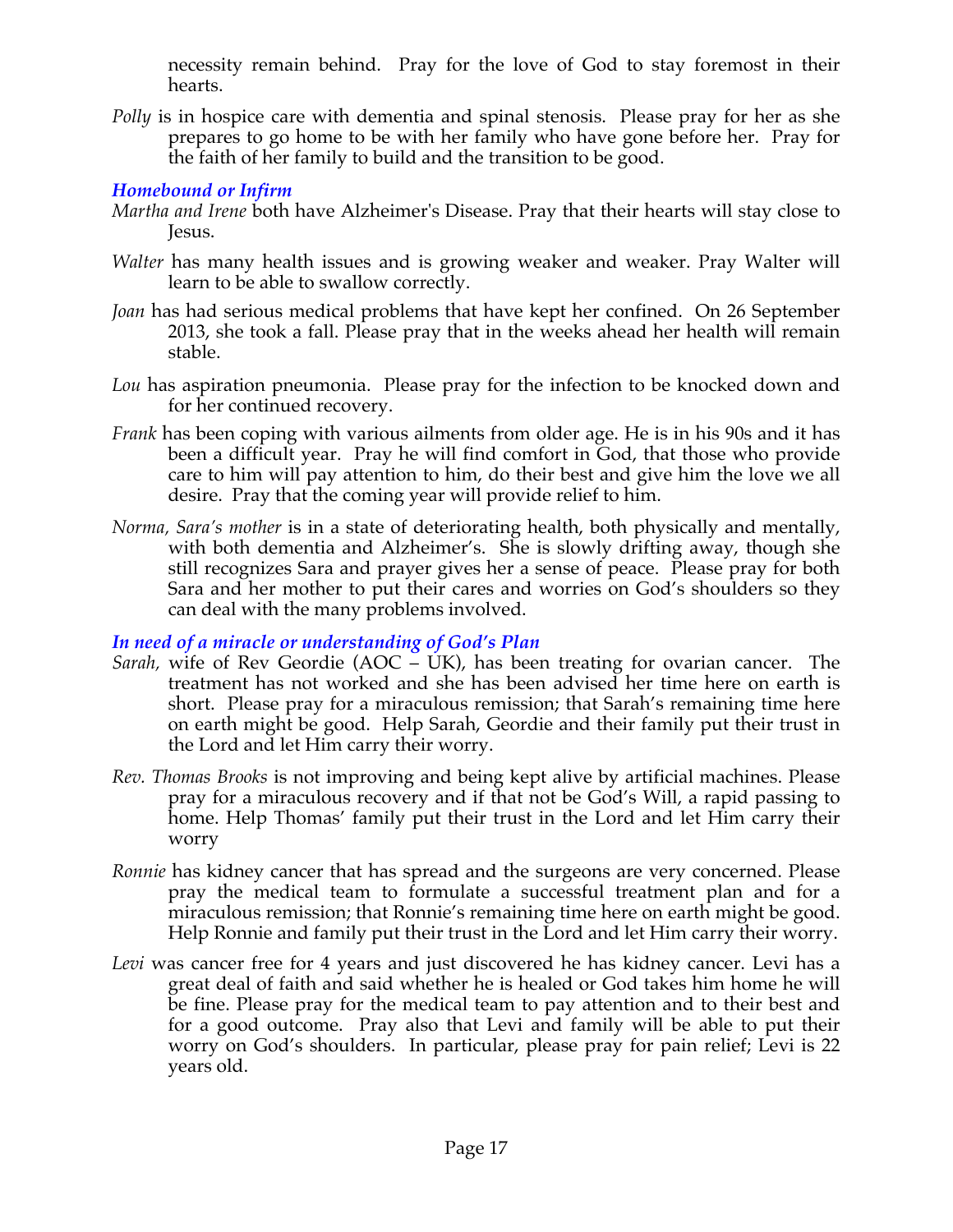necessity remain behind. Pray for the love of God to stay foremost in their hearts.

*Polly* is in hospice care with dementia and spinal stenosis. Please pray for her as she prepares to go home to be with her family who have gone before her. Pray for the faith of her family to build and the transition to be good.

# *Homebound or Infirm*

- *Martha and Irene* both have Alzheimer's Disease. Pray that their hearts will stay close to Jesus.
- *Walter* has many health issues and is growing weaker and weaker. Pray Walter will learn to be able to swallow correctly.
- *Joan* has had serious medical problems that have kept her confined. On 26 September 2013, she took a fall. Please pray that in the weeks ahead her health will remain stable.
- *Lou* has aspiration pneumonia. Please pray for the infection to be knocked down and for her continued recovery.
- *Frank* has been coping with various ailments from older age. He is in his 90s and it has been a difficult year. Pray he will find comfort in God, that those who provide care to him will pay attention to him, do their best and give him the love we all desire. Pray that the coming year will provide relief to him.
- *Norma, Sara's mother* is in a state of deteriorating health, both physically and mentally, with both dementia and Alzheimer's. She is slowly drifting away, though she still recognizes Sara and prayer gives her a sense of peace. Please pray for both Sara and her mother to put their cares and worries on God's shoulders so they can deal with the many problems involved.

# *In need of a miracle or understanding of God's Plan*

- *Sarah,* wife of Rev Geordie (AOC UK), has been treating for ovarian cancer. The treatment has not worked and she has been advised her time here on earth is short. Please pray for a miraculous remission; that Sarah's remaining time here on earth might be good. Help Sarah, Geordie and their family put their trust in the Lord and let Him carry their worry.
- *Rev. Thomas Brooks* is not improving and being kept alive by artificial machines. Please pray for a miraculous recovery and if that not be God's Will, a rapid passing to home. Help Thomas' family put their trust in the Lord and let Him carry their worry
- *Ronnie* has kidney cancer that has spread and the surgeons are very concerned. Please pray the medical team to formulate a successful treatment plan and for a miraculous remission; that Ronnie's remaining time here on earth might be good. Help Ronnie and family put their trust in the Lord and let Him carry their worry.
- *Levi* was cancer free for 4 years and just discovered he has kidney cancer. Levi has a great deal of faith and said whether he is healed or God takes him home he will be fine. Please pray for the medical team to pay attention and to their best and for a good outcome. Pray also that Levi and family will be able to put their worry on God's shoulders. In particular, please pray for pain relief; Levi is 22 years old.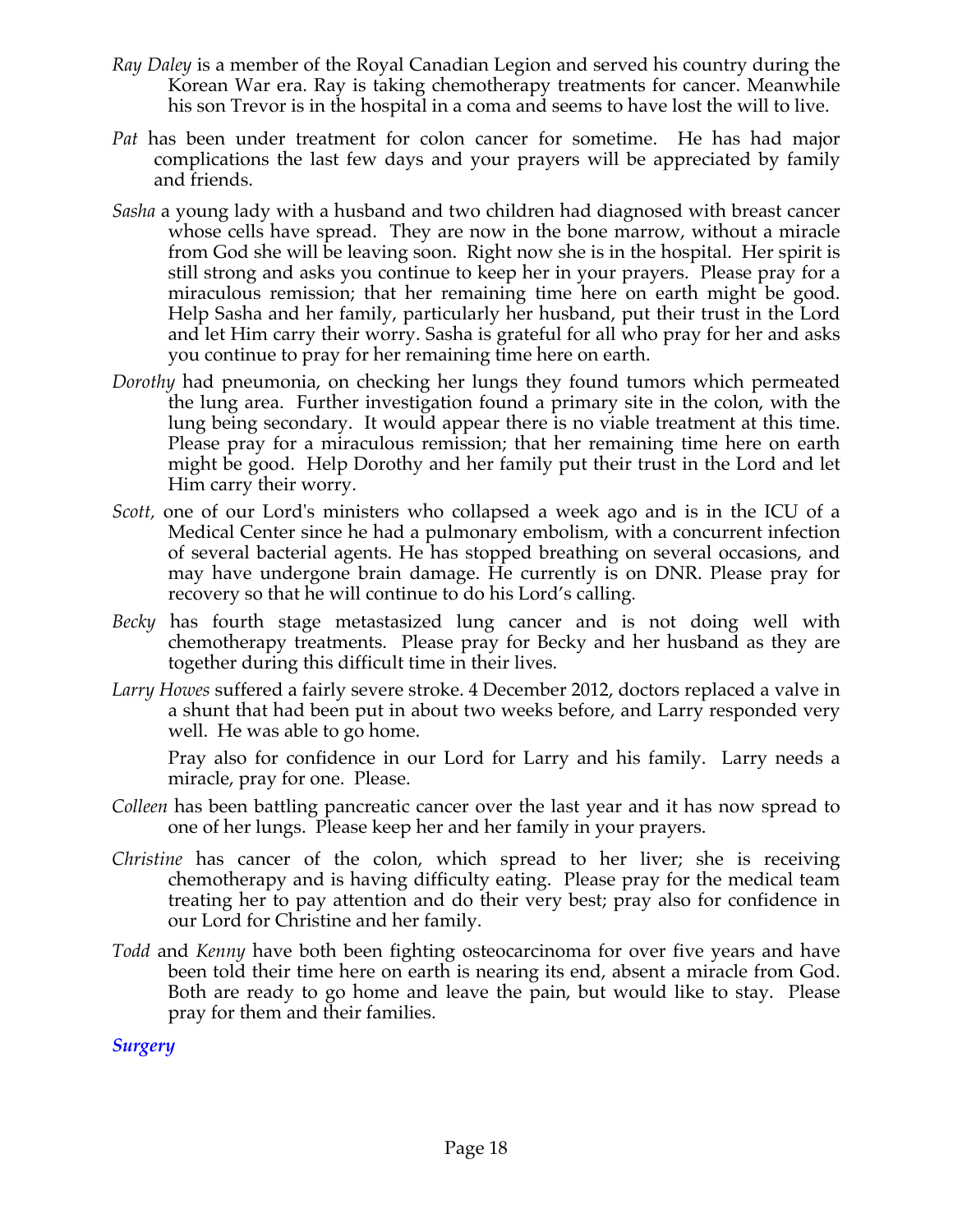- *Ray Daley* is a member of the Royal Canadian Legion and served his country during the Korean War era. Ray is taking chemotherapy treatments for cancer. Meanwhile his son Trevor is in the hospital in a coma and seems to have lost the will to live.
- *Pat* has been under treatment for colon cancer for sometime. He has had major complications the last few days and your prayers will be appreciated by family and friends.
- *Sasha* a young lady with a husband and two children had diagnosed with breast cancer whose cells have spread. They are now in the bone marrow, without a miracle from God she will be leaving soon. Right now she is in the hospital. Her spirit is still strong and asks you continue to keep her in your prayers. Please pray for a miraculous remission; that her remaining time here on earth might be good. Help Sasha and her family, particularly her husband, put their trust in the Lord and let Him carry their worry. Sasha is grateful for all who pray for her and asks you continue to pray for her remaining time here on earth.
- *Dorothy* had pneumonia, on checking her lungs they found tumors which permeated the lung area. Further investigation found a primary site in the colon, with the lung being secondary. It would appear there is no viable treatment at this time. Please pray for a miraculous remission; that her remaining time here on earth might be good. Help Dorothy and her family put their trust in the Lord and let Him carry their worry.
- *Scott,* one of our Lord's ministers who collapsed a week ago and is in the ICU of a Medical Center since he had a pulmonary embolism, with a concurrent infection of several bacterial agents. He has stopped breathing on several occasions, and may have undergone brain damage. He currently is on DNR. Please pray for recovery so that he will continue to do his Lord's calling*.*
- *Becky* has fourth stage metastasized lung cancer and is not doing well with chemotherapy treatments. Please pray for Becky and her husband as they are together during this difficult time in their lives.
- *Larry Howes* suffered a fairly severe stroke. 4 December 2012, doctors replaced a valve in a shunt that had been put in about two weeks before, and Larry responded very well. He was able to go home.

Pray also for confidence in our Lord for Larry and his family. Larry needs a miracle, pray for one. Please.

- *Colleen* has been battling pancreatic cancer over the last year and it has now spread to one of her lungs. Please keep her and her family in your prayers.
- *Christine* has cancer of the colon, which spread to her liver; she is receiving chemotherapy and is having difficulty eating. Please pray for the medical team treating her to pay attention and do their very best; pray also for confidence in our Lord for Christine and her family.
- *Todd* and *Kenny* have both been fighting osteocarcinoma for over five years and have been told their time here on earth is nearing its end, absent a miracle from God. Both are ready to go home and leave the pain, but would like to stay. Please pray for them and their families.

*Surgery*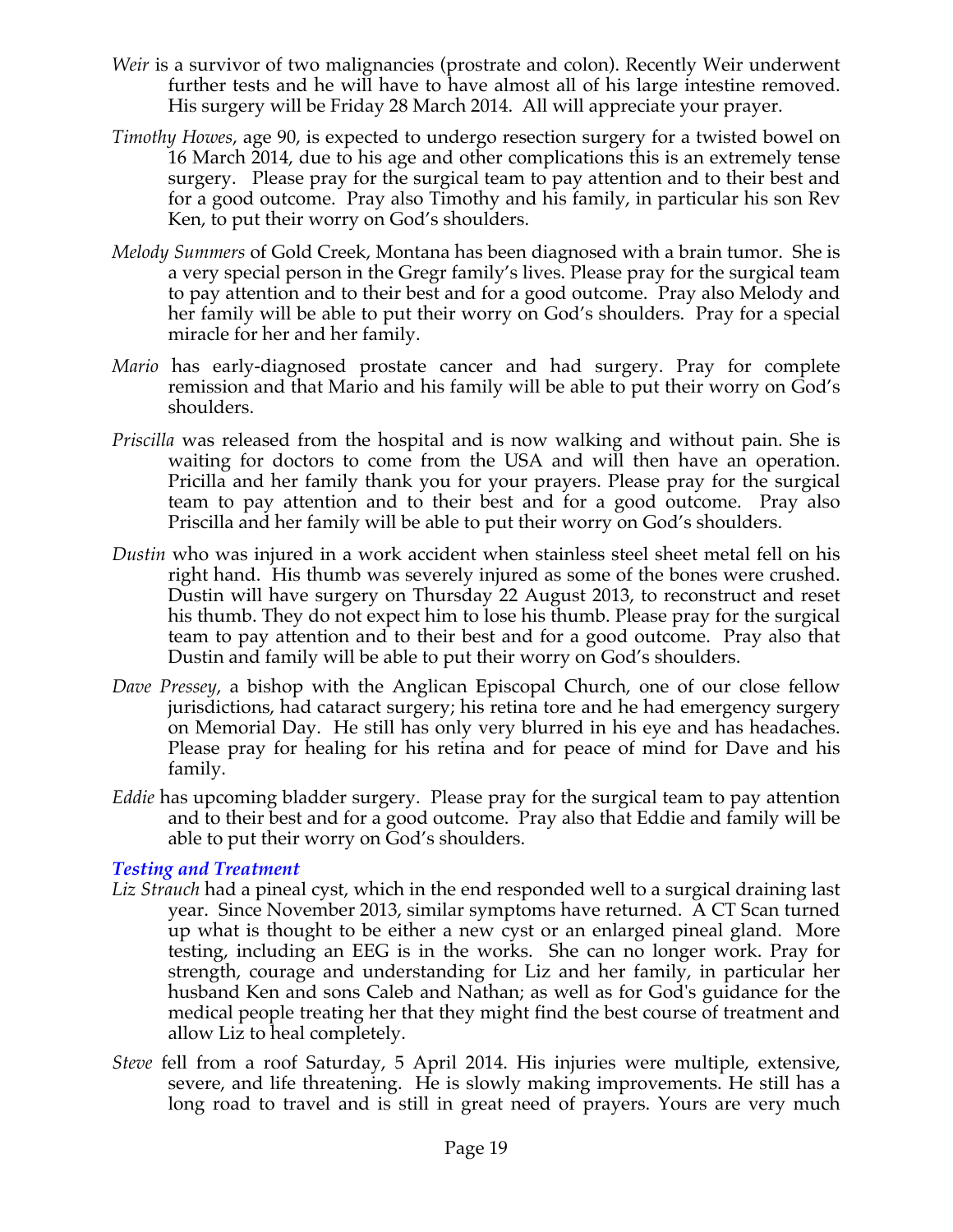- *Weir* is a survivor of two malignancies (prostrate and colon). Recently Weir underwent further tests and he will have to have almost all of his large intestine removed. His surgery will be Friday 28 March 2014. All will appreciate your prayer.
- *Timothy Howes*, age 90, is expected to undergo resection surgery for a twisted bowel on 16 March 2014, due to his age and other complications this is an extremely tense surgery. Please pray for the surgical team to pay attention and to their best and for a good outcome. Pray also Timothy and his family, in particular his son Rev Ken, to put their worry on God's shoulders.
- *Melody Summers* of Gold Creek, Montana has been diagnosed with a brain tumor. She is a very special person in the Gregr family's lives. Please pray for the surgical team to pay attention and to their best and for a good outcome. Pray also Melody and her family will be able to put their worry on God's shoulders. Pray for a special miracle for her and her family.
- *Mario* has early-diagnosed prostate cancer and had surgery. Pray for complete remission and that Mario and his family will be able to put their worry on God's shoulders.
- *Priscilla* was released from the hospital and is now walking and without pain. She is waiting for doctors to come from the USA and will then have an operation. Pricilla and her family thank you for your prayers. Please pray for the surgical team to pay attention and to their best and for a good outcome. Pray also Priscilla and her family will be able to put their worry on God's shoulders.
- *Dustin* who was injured in a work accident when stainless steel sheet metal fell on his right hand. His thumb was severely injured as some of the bones were crushed. Dustin will have surgery on Thursday 22 August 2013, to reconstruct and reset his thumb. They do not expect him to lose his thumb. Please pray for the surgical team to pay attention and to their best and for a good outcome. Pray also that Dustin and family will be able to put their worry on God's shoulders.
- *Dave Pressey*, a bishop with the Anglican Episcopal Church, one of our close fellow jurisdictions, had cataract surgery; his retina tore and he had emergency surgery on Memorial Day. He still has only very blurred in his eye and has headaches. Please pray for healing for his retina and for peace of mind for Dave and his family.
- *Eddie* has upcoming bladder surgery. Please pray for the surgical team to pay attention and to their best and for a good outcome. Pray also that Eddie and family will be able to put their worry on God's shoulders.

# *Testing and Treatment*

- *Liz Strauch* had a pineal cyst, which in the end responded well to a surgical draining last year. Since November 2013, similar symptoms have returned. A CT Scan turned up what is thought to be either a new cyst or an enlarged pineal gland. More testing, including an EEG is in the works. She can no longer work. Pray for strength, courage and understanding for Liz and her family, in particular her husband Ken and sons Caleb and Nathan; as well as for God's guidance for the medical people treating her that they might find the best course of treatment and allow Liz to heal completely.
- *Steve* fell from a roof Saturday, 5 April 2014. His injuries were multiple, extensive, severe, and life threatening. He is slowly making improvements. He still has a long road to travel and is still in great need of prayers. Yours are very much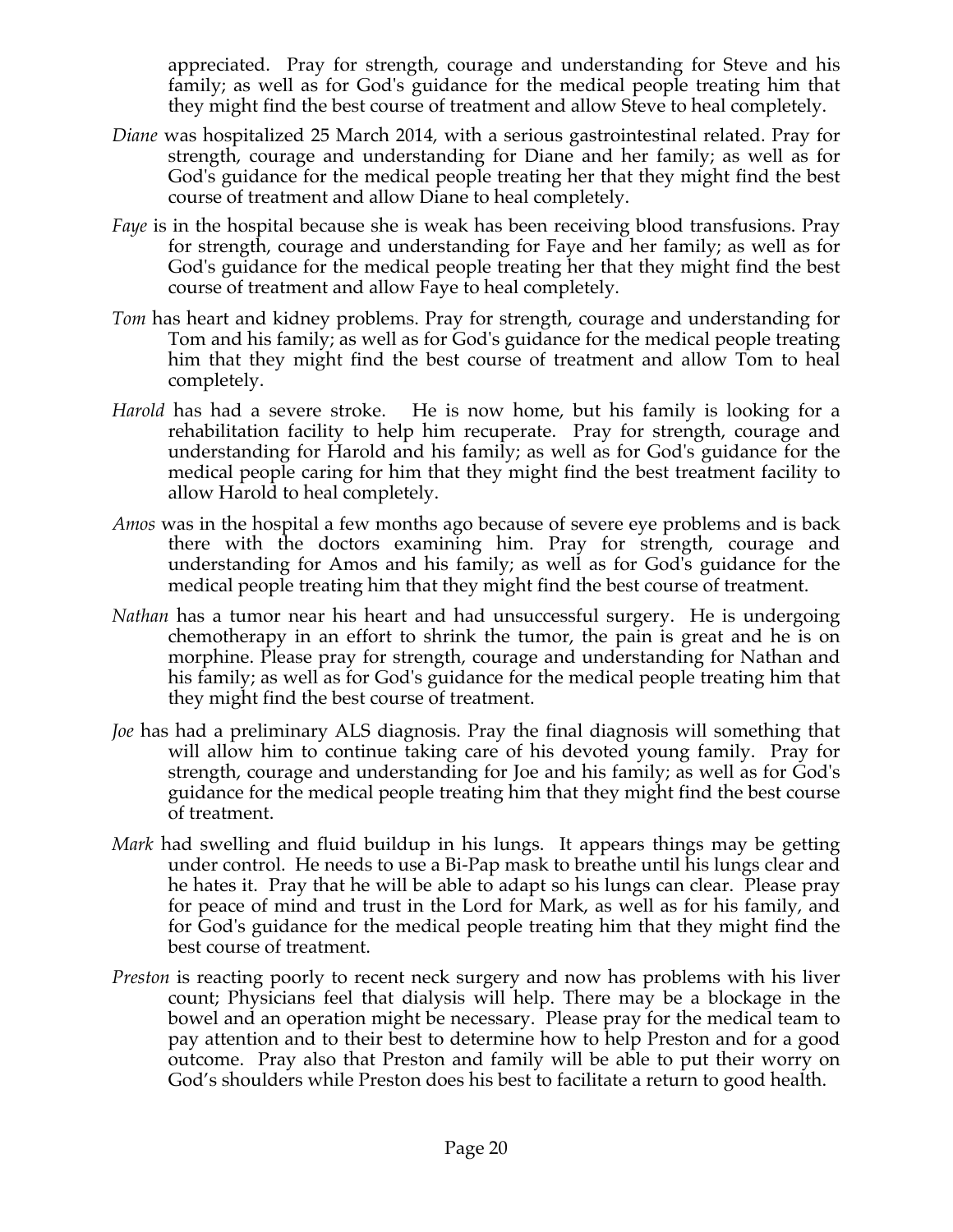appreciated. Pray for strength, courage and understanding for Steve and his family; as well as for God's guidance for the medical people treating him that they might find the best course of treatment and allow Steve to heal completely.

- *Diane* was hospitalized 25 March 2014, with a serious gastrointestinal related. Pray for strength, courage and understanding for Diane and her family; as well as for God's guidance for the medical people treating her that they might find the best course of treatment and allow Diane to heal completely.
- *Faye* is in the hospital because she is weak has been receiving blood transfusions. Pray for strength, courage and understanding for Faye and her family; as well as for God's guidance for the medical people treating her that they might find the best course of treatment and allow Faye to heal completely.
- *Tom* has heart and kidney problems. Pray for strength, courage and understanding for Tom and his family; as well as for God's guidance for the medical people treating him that they might find the best course of treatment and allow Tom to heal completely.
- *Harold* has had a severe stroke. He is now home, but his family is looking for a rehabilitation facility to help him recuperate. Pray for strength, courage and understanding for Harold and his family; as well as for God's guidance for the medical people caring for him that they might find the best treatment facility to allow Harold to heal completely.
- *Amos* was in the hospital a few months ago because of severe eye problems and is back there with the doctors examining him. Pray for strength, courage and understanding for Amos and his family; as well as for God's guidance for the medical people treating him that they might find the best course of treatment.
- *Nathan* has a tumor near his heart and had unsuccessful surgery. He is undergoing chemotherapy in an effort to shrink the tumor, the pain is great and he is on morphine. Please pray for strength, courage and understanding for Nathan and his family; as well as for God's guidance for the medical people treating him that they might find the best course of treatment.
- *Joe* has had a preliminary ALS diagnosis. Pray the final diagnosis will something that will allow him to continue taking care of his devoted young family. Pray for strength, courage and understanding for Joe and his family; as well as for God's guidance for the medical people treating him that they might find the best course of treatment.
- *Mark* had swelling and fluid buildup in his lungs. It appears things may be getting under control. He needs to use a Bi-Pap mask to breathe until his lungs clear and he hates it. Pray that he will be able to adapt so his lungs can clear. Please pray for peace of mind and trust in the Lord for Mark, as well as for his family, and for God's guidance for the medical people treating him that they might find the best course of treatment.
- *Preston* is reacting poorly to recent neck surgery and now has problems with his liver count; Physicians feel that dialysis will help. There may be a blockage in the bowel and an operation might be necessary. Please pray for the medical team to pay attention and to their best to determine how to help Preston and for a good outcome. Pray also that Preston and family will be able to put their worry on God's shoulders while Preston does his best to facilitate a return to good health.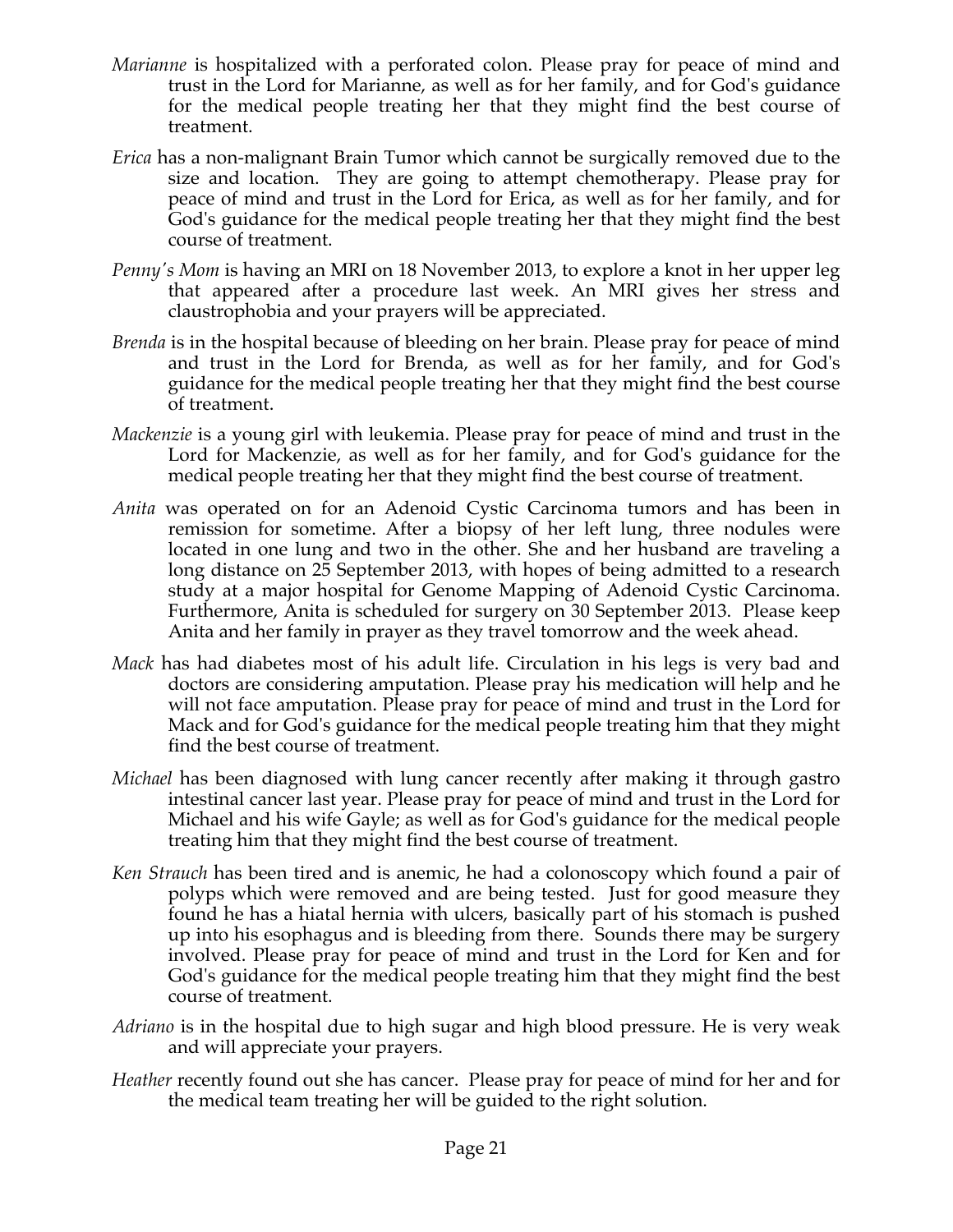- *Marianne* is hospitalized with a perforated colon. Please pray for peace of mind and trust in the Lord for Marianne, as well as for her family, and for God's guidance for the medical people treating her that they might find the best course of treatment.
- *Erica* has a non-malignant Brain Tumor which cannot be surgically removed due to the size and location. They are going to attempt chemotherapy. Please pray for peace of mind and trust in the Lord for Erica, as well as for her family, and for God's guidance for the medical people treating her that they might find the best course of treatment.
- *Penny's Mom is having an MRI on 18 November 2013, to explore a knot in her upper leg* that appeared after a procedure last week. An MRI gives her stress and claustrophobia and your prayers will be appreciated.
- *Brenda* is in the hospital because of bleeding on her brain. Please pray for peace of mind and trust in the Lord for Brenda, as well as for her family, and for God's guidance for the medical people treating her that they might find the best course of treatment.
- *Mackenzie* is a young girl with leukemia. Please pray for peace of mind and trust in the Lord for Mackenzie, as well as for her family, and for God's guidance for the medical people treating her that they might find the best course of treatment.
- *Anita* was operated on for an Adenoid Cystic Carcinoma tumors and has been in remission for sometime. After a biopsy of her left lung, three nodules were located in one lung and two in the other. She and her husband are traveling a long distance on 25 September 2013, with hopes of being admitted to a research study at a major hospital for Genome Mapping of Adenoid Cystic Carcinoma. Furthermore, Anita is scheduled for surgery on 30 September 2013. Please keep Anita and her family in prayer as they travel tomorrow and the week ahead.
- *Mack* has had diabetes most of his adult life. Circulation in his legs is very bad and doctors are considering amputation. Please pray his medication will help and he will not face amputation. Please pray for peace of mind and trust in the Lord for Mack and for God's guidance for the medical people treating him that they might find the best course of treatment.
- *Michael* has been diagnosed with lung cancer recently after making it through gastro intestinal cancer last year. Please pray for peace of mind and trust in the Lord for Michael and his wife Gayle; as well as for God's guidance for the medical people treating him that they might find the best course of treatment.
- *Ken Strauch* has been tired and is anemic, he had a colonoscopy which found a pair of polyps which were removed and are being tested. Just for good measure they found he has a hiatal hernia with ulcers, basically part of his stomach is pushed up into his esophagus and is bleeding from there. Sounds there may be surgery involved. Please pray for peace of mind and trust in the Lord for Ken and for God's guidance for the medical people treating him that they might find the best course of treatment.
- *Adriano* is in the hospital due to high sugar and high blood pressure. He is very weak and will appreciate your prayers.
- *Heather* recently found out she has cancer. Please pray for peace of mind for her and for the medical team treating her will be guided to the right solution.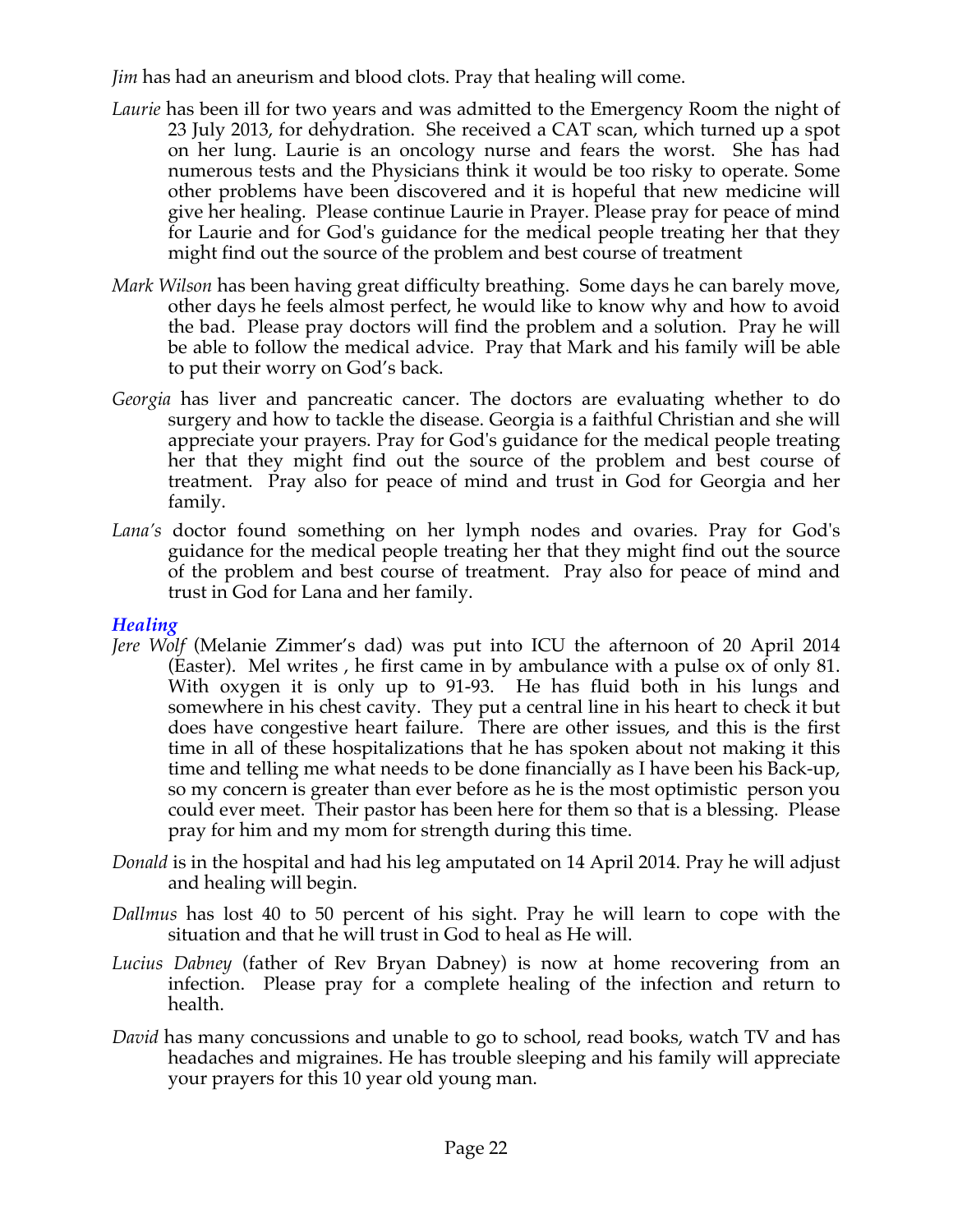*Jim* has had an aneurism and blood clots. Pray that healing will come.

- *Laurie* has been ill for two years and was admitted to the Emergency Room the night of 23 July 2013, for dehydration. She received a CAT scan, which turned up a spot on her lung. Laurie is an oncology nurse and fears the worst. She has had numerous tests and the Physicians think it would be too risky to operate. Some other problems have been discovered and it is hopeful that new medicine will give her healing. Please continue Laurie in Prayer. Please pray for peace of mind for Laurie and for God's guidance for the medical people treating her that they might find out the source of the problem and best course of treatment
- *Mark Wilson* has been having great difficulty breathing. Some days he can barely move, other days he feels almost perfect, he would like to know why and how to avoid the bad. Please pray doctors will find the problem and a solution. Pray he will be able to follow the medical advice. Pray that Mark and his family will be able to put their worry on God's back.
- *Georgia* has liver and pancreatic cancer. The doctors are evaluating whether to do surgery and how to tackle the disease. Georgia is a faithful Christian and she will appreciate your prayers. Pray for God's guidance for the medical people treating her that they might find out the source of the problem and best course of treatment. Pray also for peace of mind and trust in God for Georgia and her family.
- *Lana's* doctor found something on her lymph nodes and ovaries. Pray for God's guidance for the medical people treating her that they might find out the source of the problem and best course of treatment. Pray also for peace of mind and trust in God for Lana and her family.

## *Healing*

- *Jere Wolf* (Melanie Zimmer's dad) was put into ICU the afternoon of 20 April 2014 (Easter). Mel writes , he first came in by ambulance with a pulse ox of only 81. With oxygen it is only up to 91-93. He has fluid both in his lungs and somewhere in his chest cavity. They put a central line in his heart to check it but does have congestive heart failure. There are other issues, and this is the first time in all of these hospitalizations that he has spoken about not making it this time and telling me what needs to be done financially as I have been his Back-up, so my concern is greater than ever before as he is the most optimistic person you could ever meet. Their pastor has been here for them so that is a blessing. Please pray for him and my mom for strength during this time.
- *Donald* is in the hospital and had his leg amputated on 14 April 2014. Pray he will adjust and healing will begin.
- *Dallmus* has lost 40 to 50 percent of his sight. Pray he will learn to cope with the situation and that he will trust in God to heal as He will.
- *Lucius Dabney* (father of Rev Bryan Dabney) is now at home recovering from an infection. Please pray for a complete healing of the infection and return to health.
- *David* has many concussions and unable to go to school, read books, watch TV and has headaches and migraines. He has trouble sleeping and his family will appreciate your prayers for this 10 year old young man.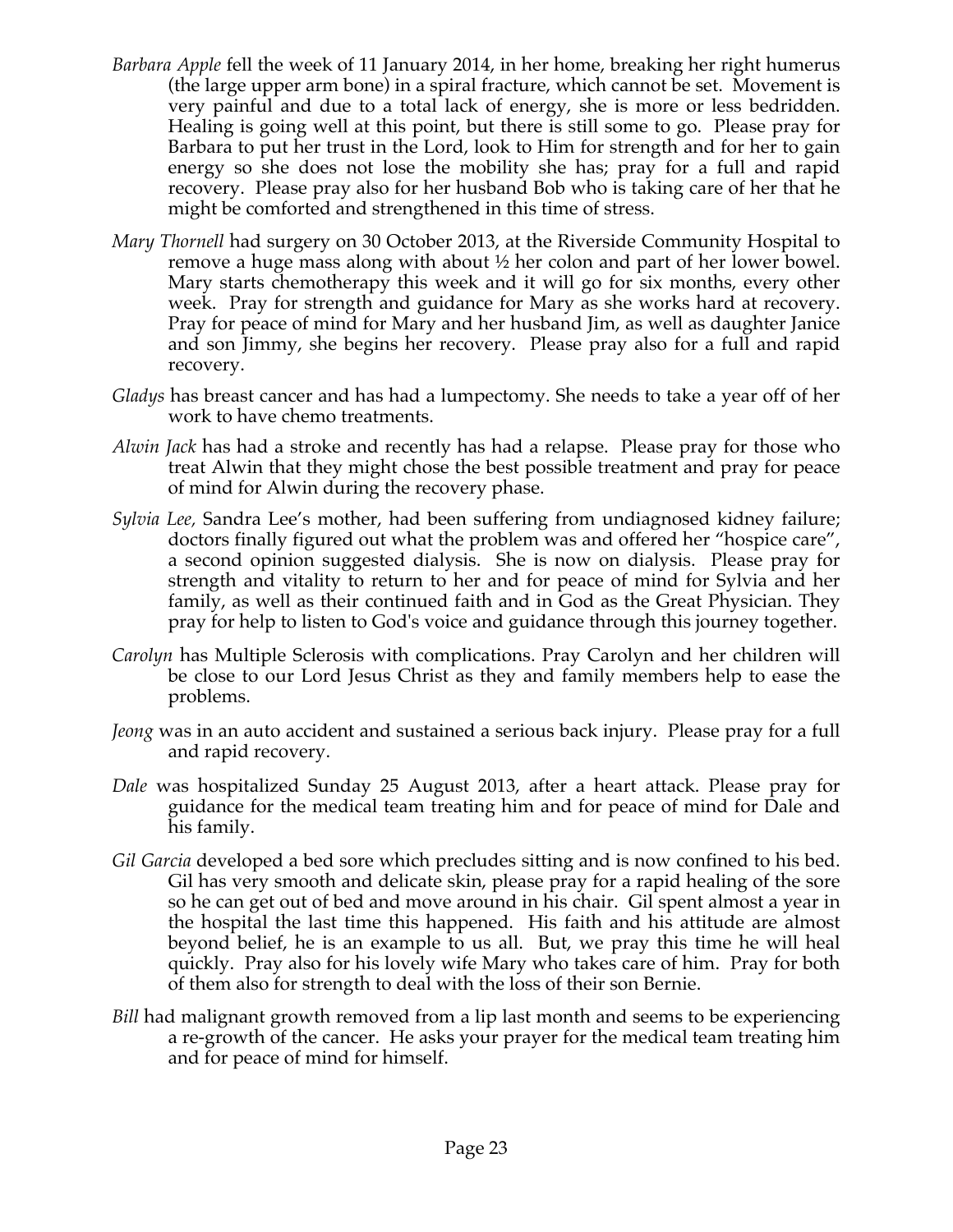- *Barbara Apple* fell the week of 11 January 2014, in her home, breaking her right humerus (the large upper arm bone) in a spiral fracture, which cannot be set. Movement is very painful and due to a total lack of energy, she is more or less bedridden. Healing is going well at this point, but there is still some to go. Please pray for Barbara to put her trust in the Lord, look to Him for strength and for her to gain energy so she does not lose the mobility she has; pray for a full and rapid recovery. Please pray also for her husband Bob who is taking care of her that he might be comforted and strengthened in this time of stress.
- *Mary Thornell* had surgery on 30 October 2013, at the Riverside Community Hospital to remove a huge mass along with about ½ her colon and part of her lower bowel. Mary starts chemotherapy this week and it will go for six months, every other week. Pray for strength and guidance for Mary as she works hard at recovery. Pray for peace of mind for Mary and her husband Jim, as well as daughter Janice and son Jimmy, she begins her recovery. Please pray also for a full and rapid recovery.
- *Gladys* has breast cancer and has had a lumpectomy. She needs to take a year off of her work to have chemo treatments.
- *Alwin Jack* has had a stroke and recently has had a relapse. Please pray for those who treat Alwin that they might chose the best possible treatment and pray for peace of mind for Alwin during the recovery phase.
- *Sylvia Lee,* Sandra Lee's mother, had been suffering from undiagnosed kidney failure; doctors finally figured out what the problem was and offered her "hospice care", a second opinion suggested dialysis. She is now on dialysis. Please pray for strength and vitality to return to her and for peace of mind for Sylvia and her family, as well as their continued faith and in God as the Great Physician. They pray for help to listen to God's voice and guidance through this journey together.
- *Carolyn* has Multiple Sclerosis with complications. Pray Carolyn and her children will be close to our Lord Jesus Christ as they and family members help to ease the problems.
- *Jeong* was in an auto accident and sustained a serious back injury. Please pray for a full and rapid recovery.
- *Dale* was hospitalized Sunday 25 August 2013, after a heart attack. Please pray for guidance for the medical team treating him and for peace of mind for Dale and his family.
- *Gil Garcia* developed a bed sore which precludes sitting and is now confined to his bed. Gil has very smooth and delicate skin, please pray for a rapid healing of the sore so he can get out of bed and move around in his chair. Gil spent almost a year in the hospital the last time this happened. His faith and his attitude are almost beyond belief, he is an example to us all. But, we pray this time he will heal quickly. Pray also for his lovely wife Mary who takes care of him. Pray for both of them also for strength to deal with the loss of their son Bernie.
- *Bill* had malignant growth removed from a lip last month and seems to be experiencing a re-growth of the cancer. He asks your prayer for the medical team treating him and for peace of mind for himself.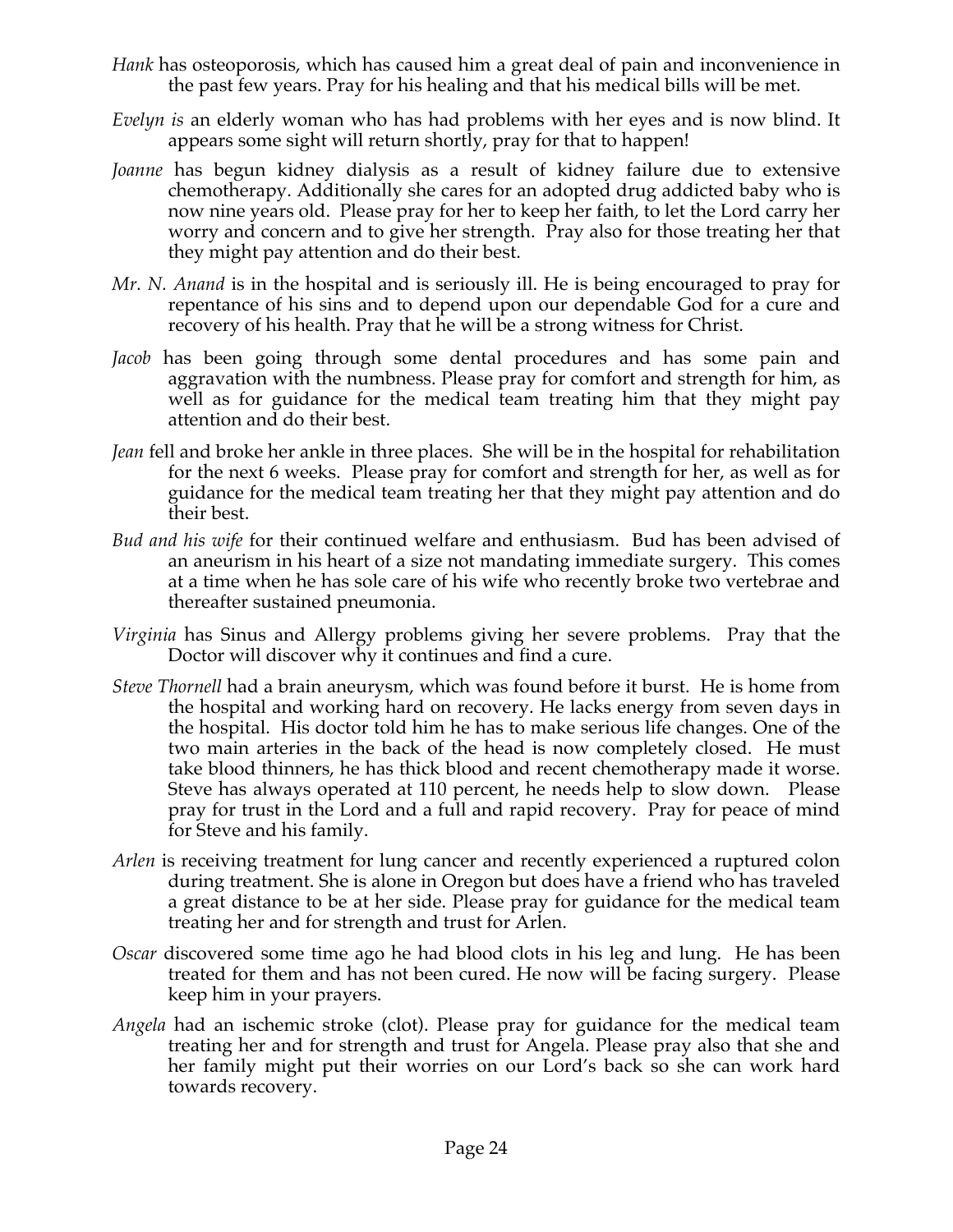- *Hank* has osteoporosis, which has caused him a great deal of pain and inconvenience in the past few years. Pray for his healing and that his medical bills will be met.
- *Evelyn is* an elderly woman who has had problems with her eyes and is now blind. It appears some sight will return shortly, pray for that to happen!
- *Joanne* has begun kidney dialysis as a result of kidney failure due to extensive chemotherapy. Additionally she cares for an adopted drug addicted baby who is now nine years old. Please pray for her to keep her faith, to let the Lord carry her worry and concern and to give her strength. Pray also for those treating her that they might pay attention and do their best.
- *Mr. N. Anand* is in the hospital and is seriously ill. He is being encouraged to pray for repentance of his sins and to depend upon our dependable God for a cure and recovery of his health. Pray that he will be a strong witness for Christ.
- *Jacob* has been going through some dental procedures and has some pain and aggravation with the numbness. Please pray for comfort and strength for him, as well as for guidance for the medical team treating him that they might pay attention and do their best.
- *Jean* fell and broke her ankle in three places. She will be in the hospital for rehabilitation for the next 6 weeks. Please pray for comfort and strength for her, as well as for guidance for the medical team treating her that they might pay attention and do their best.
- *Bud and his wife* for their continued welfare and enthusiasm. Bud has been advised of an aneurism in his heart of a size not mandating immediate surgery. This comes at a time when he has sole care of his wife who recently broke two vertebrae and thereafter sustained pneumonia.
- *Virginia* has Sinus and Allergy problems giving her severe problems. Pray that the Doctor will discover why it continues and find a cure.
- *Steve Thornell* had a brain aneurysm, which was found before it burst. He is home from the hospital and working hard on recovery. He lacks energy from seven days in the hospital. His doctor told him he has to make serious life changes. One of the two main arteries in the back of the head is now completely closed. He must take blood thinners, he has thick blood and recent chemotherapy made it worse. Steve has always operated at 110 percent, he needs help to slow down. Please pray for trust in the Lord and a full and rapid recovery. Pray for peace of mind for Steve and his family.
- *Arlen* is receiving treatment for lung cancer and recently experienced a ruptured colon during treatment. She is alone in Oregon but does have a friend who has traveled a great distance to be at her side. Please pray for guidance for the medical team treating her and for strength and trust for Arlen.
- *Oscar* discovered some time ago he had blood clots in his leg and lung. He has been treated for them and has not been cured. He now will be facing surgery. Please keep him in your prayers.
- *Angela* had an ischemic stroke (clot). Please pray for guidance for the medical team treating her and for strength and trust for Angela. Please pray also that she and her family might put their worries on our Lord's back so she can work hard towards recovery.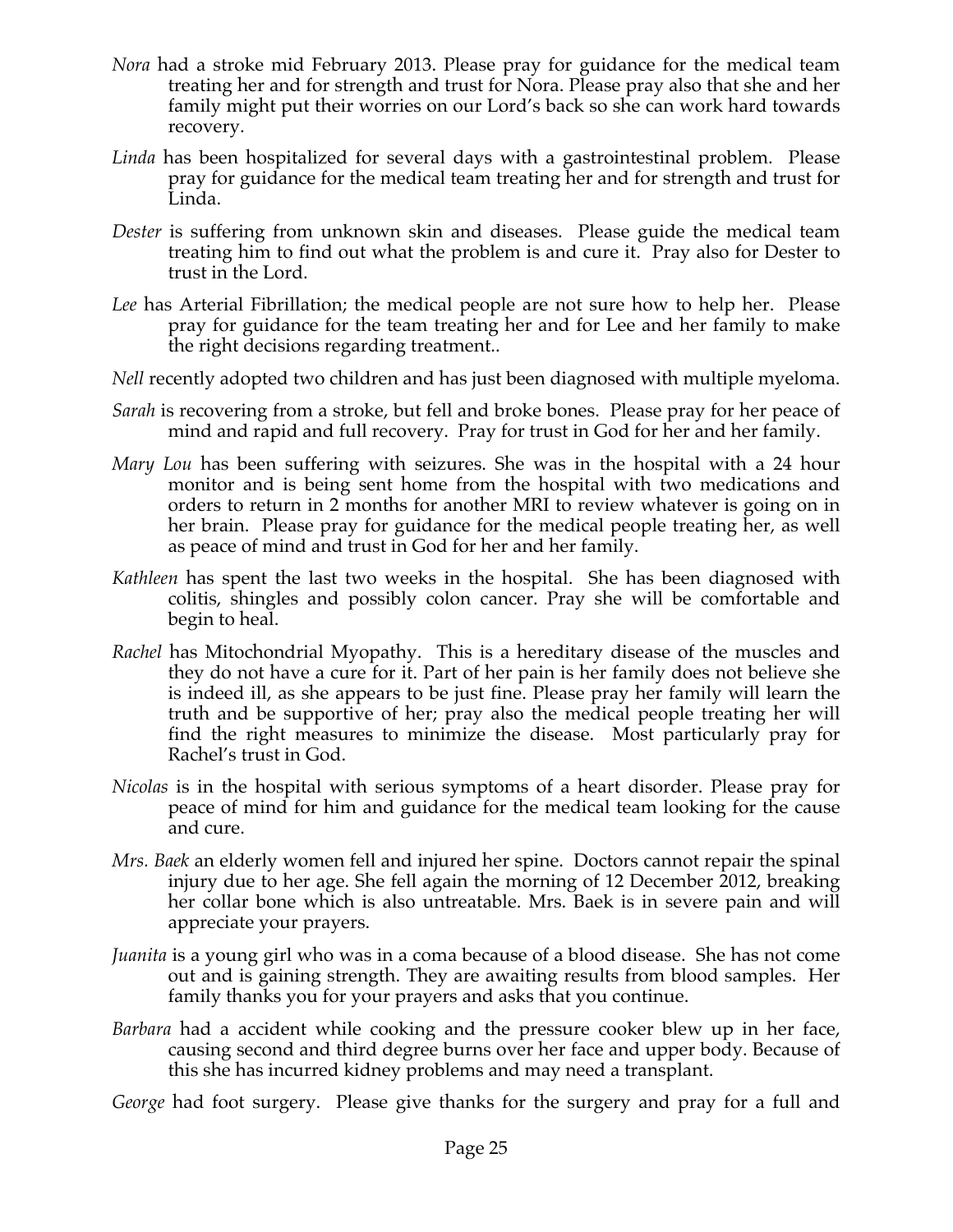- *Nora* had a stroke mid February 2013. Please pray for guidance for the medical team treating her and for strength and trust for Nora. Please pray also that she and her family might put their worries on our Lord's back so she can work hard towards recovery.
- *Linda* has been hospitalized for several days with a gastrointestinal problem. Please pray for guidance for the medical team treating her and for strength and trust for Linda.
- *Dester* is suffering from unknown skin and diseases. Please guide the medical team treating him to find out what the problem is and cure it. Pray also for Dester to trust in the Lord.
- *Lee* has Arterial Fibrillation; the medical people are not sure how to help her. Please pray for guidance for the team treating her and for Lee and her family to make the right decisions regarding treatment..
- *Nell* recently adopted two children and has just been diagnosed with multiple myeloma.
- *Sarah* is recovering from a stroke, but fell and broke bones. Please pray for her peace of mind and rapid and full recovery. Pray for trust in God for her and her family.
- *Mary Lou* has been suffering with seizures. She was in the hospital with a 24 hour monitor and is being sent home from the hospital with two medications and orders to return in 2 months for another MRI to review whatever is going on in her brain. Please pray for guidance for the medical people treating her, as well as peace of mind and trust in God for her and her family.
- *Kathleen* has spent the last two weeks in the hospital. She has been diagnosed with colitis, shingles and possibly colon cancer. Pray she will be comfortable and begin to heal.
- *Rachel* has Mitochondrial Myopathy. This is a hereditary disease of the muscles and they do not have a cure for it. Part of her pain is her family does not believe she is indeed ill, as she appears to be just fine. Please pray her family will learn the truth and be supportive of her; pray also the medical people treating her will find the right measures to minimize the disease. Most particularly pray for Rachel's trust in God.
- *Nicolas* is in the hospital with serious symptoms of a heart disorder. Please pray for peace of mind for him and guidance for the medical team looking for the cause and cure.
- *Mrs. Baek* an elderly women fell and injured her spine. Doctors cannot repair the spinal injury due to her age. She fell again the morning of 12 December 2012, breaking her collar bone which is also untreatable. Mrs. Baek is in severe pain and will appreciate your prayers.
- *Juanita* is a young girl who was in a coma because of a blood disease. She has not come out and is gaining strength. They are awaiting results from blood samples. Her family thanks you for your prayers and asks that you continue.
- *Barbara* had a accident while cooking and the pressure cooker blew up in her face, causing second and third degree burns over her face and upper body. Because of this she has incurred kidney problems and may need a transplant.

*George* had foot surgery. Please give thanks for the surgery and pray for a full and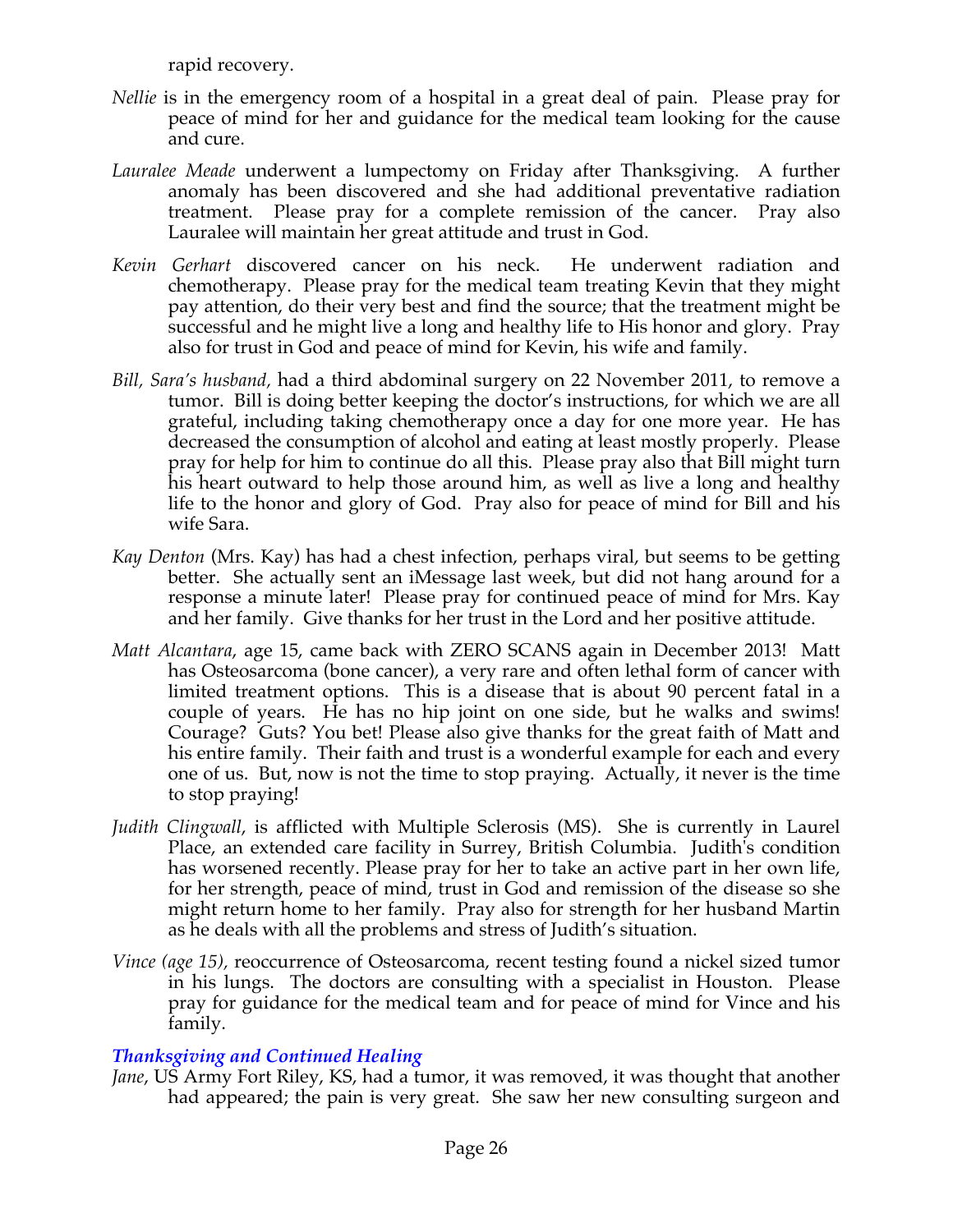rapid recovery.

- *Nellie* is in the emergency room of a hospital in a great deal of pain. Please pray for peace of mind for her and guidance for the medical team looking for the cause and cure.
- *Lauralee Meade* underwent a lumpectomy on Friday after Thanksgiving. A further anomaly has been discovered and she had additional preventative radiation treatment. Please pray for a complete remission of the cancer. Pray also Lauralee will maintain her great attitude and trust in God.
- *Kevin Gerhart* discovered cancer on his neck. He underwent radiation and chemotherapy. Please pray for the medical team treating Kevin that they might pay attention, do their very best and find the source; that the treatment might be successful and he might live a long and healthy life to His honor and glory. Pray also for trust in God and peace of mind for Kevin, his wife and family.
- *Bill, Sara's husband,* had a third abdominal surgery on 22 November 2011, to remove a tumor. Bill is doing better keeping the doctor's instructions, for which we are all grateful, including taking chemotherapy once a day for one more year. He has decreased the consumption of alcohol and eating at least mostly properly. Please pray for help for him to continue do all this. Please pray also that Bill might turn his heart outward to help those around him, as well as live a long and healthy life to the honor and glory of God. Pray also for peace of mind for Bill and his wife Sara.
- *Kay Denton* (Mrs. Kay) has had a chest infection, perhaps viral, but seems to be getting better. She actually sent an iMessage last week, but did not hang around for a response a minute later! Please pray for continued peace of mind for Mrs. Kay and her family. Give thanks for her trust in the Lord and her positive attitude.
- *Matt Alcantara*, age 15, came back with ZERO SCANS again in December 2013! Matt has Osteosarcoma (bone cancer), a very rare and often lethal form of cancer with limited treatment options. This is a disease that is about 90 percent fatal in a couple of years. He has no hip joint on one side, but he walks and swims! Courage? Guts? You bet! Please also give thanks for the great faith of Matt and his entire family. Their faith and trust is a wonderful example for each and every one of us. But, now is not the time to stop praying. Actually, it never is the time to stop praying!
- *Judith Clingwall*, is afflicted with Multiple Sclerosis (MS). She is currently in Laurel Place, an extended care facility in Surrey, British Columbia. Judith's condition has worsened recently. Please pray for her to take an active part in her own life, for her strength, peace of mind, trust in God and remission of the disease so she might return home to her family. Pray also for strength for her husband Martin as he deals with all the problems and stress of Judith's situation.
- *Vince (age 15),* reoccurrence of Osteosarcoma, recent testing found a nickel sized tumor in his lungs. The doctors are consulting with a specialist in Houston. Please pray for guidance for the medical team and for peace of mind for Vince and his family.

# *Thanksgiving and Continued Healing*

*Jane*, US Army Fort Riley, KS, had a tumor, it was removed, it was thought that another had appeared; the pain is very great. She saw her new consulting surgeon and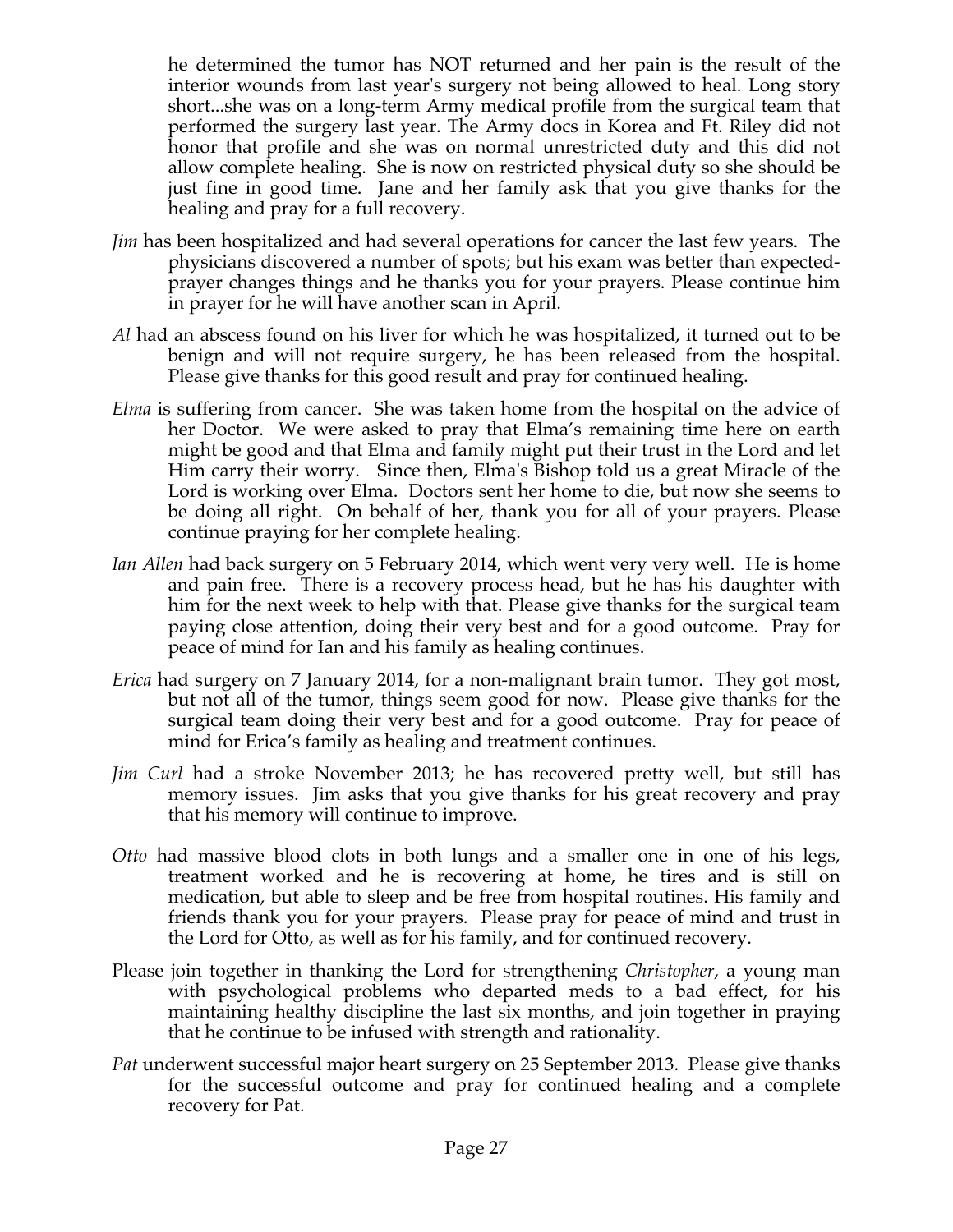he determined the tumor has NOT returned and her pain is the result of the interior wounds from last year's surgery not being allowed to heal. Long story short...she was on a long-term Army medical profile from the surgical team that performed the surgery last year. The Army docs in Korea and Ft. Riley did not honor that profile and she was on normal unrestricted duty and this did not allow complete healing. She is now on restricted physical duty so she should be just fine in good time. Jane and her family ask that you give thanks for the healing and pray for a full recovery.

- *Jim* has been hospitalized and had several operations for cancer the last few years. The physicians discovered a number of spots; but his exam was better than expectedprayer changes things and he thanks you for your prayers. Please continue him in prayer for he will have another scan in April.
- *Al* had an abscess found on his liver for which he was hospitalized, it turned out to be benign and will not require surgery, he has been released from the hospital. Please give thanks for this good result and pray for continued healing.
- *Elma* is suffering from cancer. She was taken home from the hospital on the advice of her Doctor. We were asked to pray that Elma's remaining time here on earth might be good and that Elma and family might put their trust in the Lord and let Him carry their worry. Since then, Elma's Bishop told us a great Miracle of the Lord is working over Elma. Doctors sent her home to die, but now she seems to be doing all right. On behalf of her, thank you for all of your prayers. Please continue praying for her complete healing.
- *Ian Allen* had back surgery on 5 February 2014, which went very very well. He is home and pain free. There is a recovery process head, but he has his daughter with him for the next week to help with that. Please give thanks for the surgical team paying close attention, doing their very best and for a good outcome. Pray for peace of mind for Ian and his family as healing continues.
- *Erica* had surgery on 7 January 2014, for a non-malignant brain tumor. They got most, but not all of the tumor, things seem good for now. Please give thanks for the surgical team doing their very best and for a good outcome. Pray for peace of mind for Erica's family as healing and treatment continues.
- *Jim Curl* had a stroke November 2013; he has recovered pretty well, but still has memory issues. Jim asks that you give thanks for his great recovery and pray that his memory will continue to improve.
- *Otto* had massive blood clots in both lungs and a smaller one in one of his legs, treatment worked and he is recovering at home, he tires and is still on medication, but able to sleep and be free from hospital routines. His family and friends thank you for your prayers. Please pray for peace of mind and trust in the Lord for Otto, as well as for his family, and for continued recovery.
- Please join together in thanking the Lord for strengthening *Christopher*, a young man with psychological problems who departed meds to a bad effect, for his maintaining healthy discipline the last six months, and join together in praying that he continue to be infused with strength and rationality.
- *Pat* underwent successful major heart surgery on 25 September 2013. Please give thanks for the successful outcome and pray for continued healing and a complete recovery for Pat.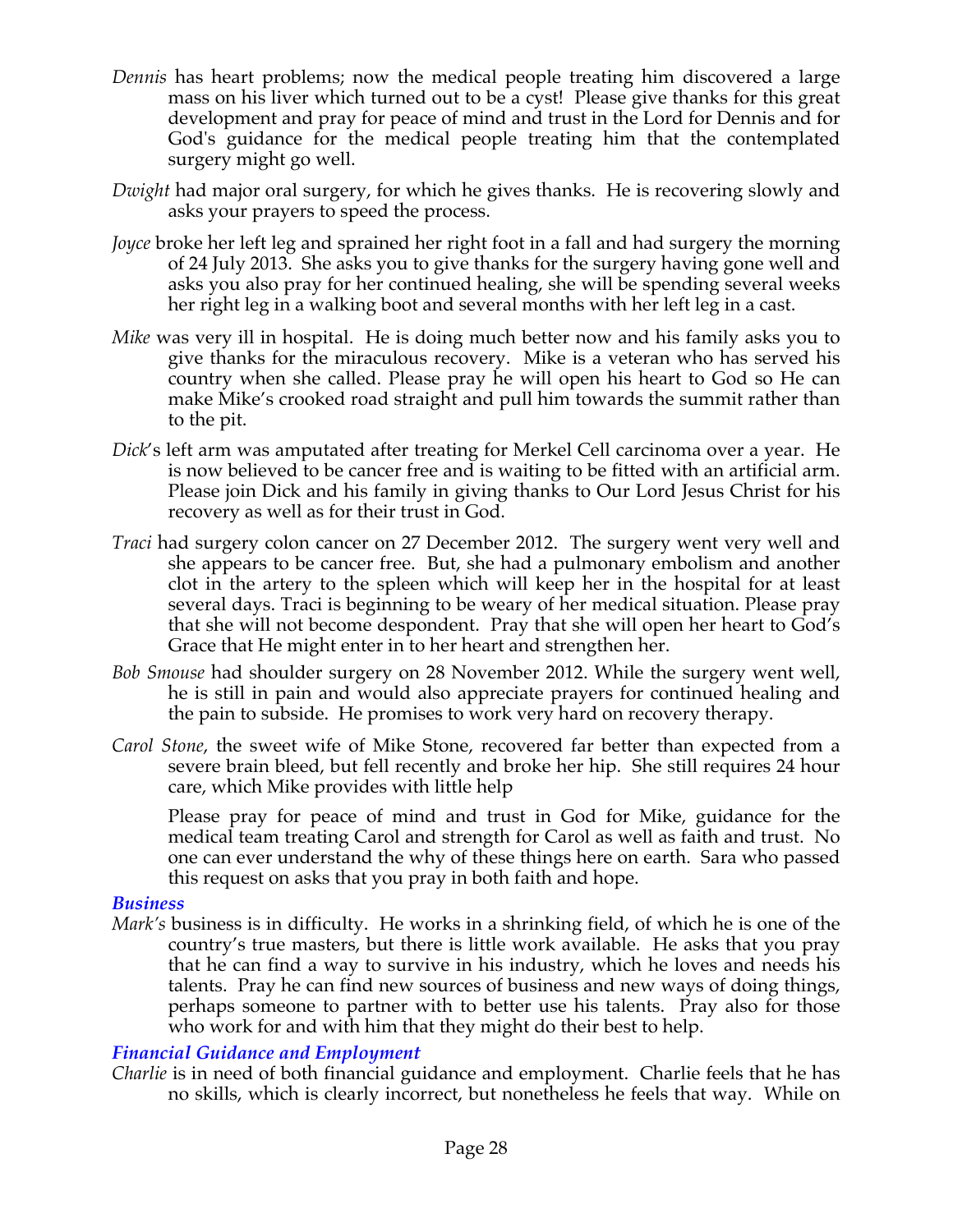- *Dennis* has heart problems; now the medical people treating him discovered a large mass on his liver which turned out to be a cyst! Please give thanks for this great development and pray for peace of mind and trust in the Lord for Dennis and for God's guidance for the medical people treating him that the contemplated surgery might go well.
- *Dwight* had major oral surgery, for which he gives thanks. He is recovering slowly and asks your prayers to speed the process.
- *Joyce* broke her left leg and sprained her right foot in a fall and had surgery the morning of 24 July 2013. She asks you to give thanks for the surgery having gone well and asks you also pray for her continued healing, she will be spending several weeks her right leg in a walking boot and several months with her left leg in a cast.
- *Mike* was very ill in hospital. He is doing much better now and his family asks you to give thanks for the miraculous recovery. Mike is a veteran who has served his country when she called. Please pray he will open his heart to God so He can make Mike's crooked road straight and pull him towards the summit rather than to the pit.
- *Dick*'s left arm was amputated after treating for Merkel Cell carcinoma over a year. He is now believed to be cancer free and is waiting to be fitted with an artificial arm. Please join Dick and his family in giving thanks to Our Lord Jesus Christ for his recovery as well as for their trust in God.
- *Traci* had surgery colon cancer on 27 December 2012. The surgery went very well and she appears to be cancer free. But, she had a pulmonary embolism and another clot in the artery to the spleen which will keep her in the hospital for at least several days. Traci is beginning to be weary of her medical situation. Please pray that she will not become despondent. Pray that she will open her heart to God's Grace that He might enter in to her heart and strengthen her.
- *Bob Smouse* had shoulder surgery on 28 November 2012. While the surgery went well, he is still in pain and would also appreciate prayers for continued healing and the pain to subside. He promises to work very hard on recovery therapy.
- *Carol Stone*, the sweet wife of Mike Stone, recovered far better than expected from a severe brain bleed, but fell recently and broke her hip. She still requires 24 hour care, which Mike provides with little help

Please pray for peace of mind and trust in God for Mike, guidance for the medical team treating Carol and strength for Carol as well as faith and trust. No one can ever understand the why of these things here on earth. Sara who passed this request on asks that you pray in both faith and hope.

### *Business*

*Mark's* business is in difficulty. He works in a shrinking field, of which he is one of the country's true masters, but there is little work available. He asks that you pray that he can find a way to survive in his industry, which he loves and needs his talents. Pray he can find new sources of business and new ways of doing things, perhaps someone to partner with to better use his talents. Pray also for those who work for and with him that they might do their best to help.

### *Financial Guidance and Employment*

*Charlie* is in need of both financial guidance and employment. Charlie feels that he has no skills, which is clearly incorrect, but nonetheless he feels that way. While on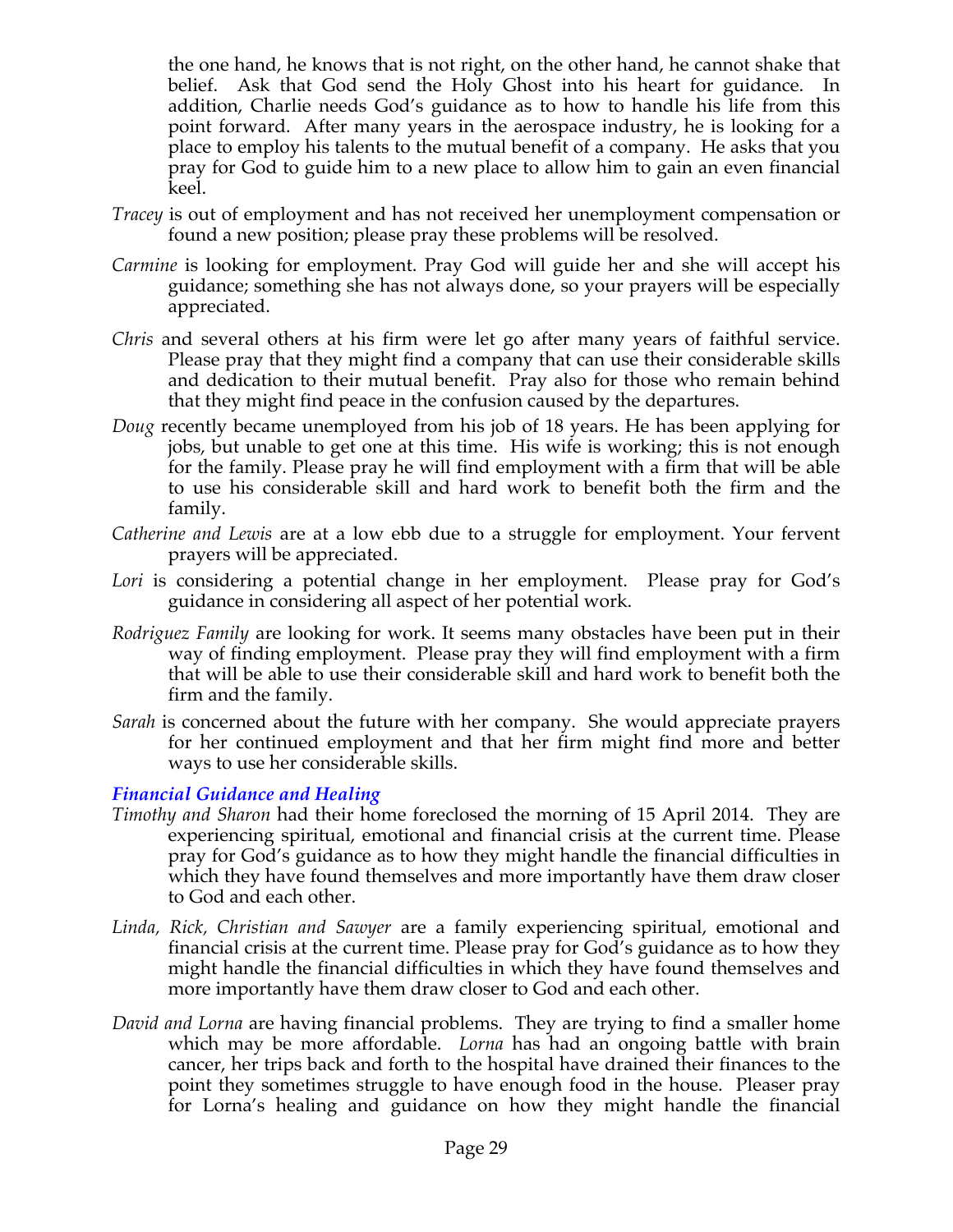the one hand, he knows that is not right, on the other hand, he cannot shake that belief. Ask that God send the Holy Ghost into his heart for guidance. In addition, Charlie needs God's guidance as to how to handle his life from this point forward. After many years in the aerospace industry, he is looking for a place to employ his talents to the mutual benefit of a company. He asks that you pray for God to guide him to a new place to allow him to gain an even financial keel.

- *Tracey* is out of employment and has not received her unemployment compensation or found a new position; please pray these problems will be resolved.
- *Carmine* is looking for employment. Pray God will guide her and she will accept his guidance; something she has not always done, so your prayers will be especially appreciated.
- *Chris* and several others at his firm were let go after many years of faithful service. Please pray that they might find a company that can use their considerable skills and dedication to their mutual benefit. Pray also for those who remain behind that they might find peace in the confusion caused by the departures.
- *Doug* recently became unemployed from his job of 18 years. He has been applying for jobs, but unable to get one at this time. His wife is working; this is not enough for the family. Please pray he will find employment with a firm that will be able to use his considerable skill and hard work to benefit both the firm and the family.
- *Catherine and Lewis* are at a low ebb due to a struggle for employment. Your fervent prayers will be appreciated.
- *Lori* is considering a potential change in her employment. Please pray for God's guidance in considering all aspect of her potential work.
- *Rodriguez Family* are looking for work. It seems many obstacles have been put in their way of finding employment. Please pray they will find employment with a firm that will be able to use their considerable skill and hard work to benefit both the firm and the family.
- *Sarah* is concerned about the future with her company. She would appreciate prayers for her continued employment and that her firm might find more and better ways to use her considerable skills.

### *Financial Guidance and Healing*

- *Timothy and Sharon* had their home foreclosed the morning of 15 April 2014. They are experiencing spiritual, emotional and financial crisis at the current time. Please pray for God's guidance as to how they might handle the financial difficulties in which they have found themselves and more importantly have them draw closer to God and each other.
- *Linda, Rick, Christian and Sawyer* are a family experiencing spiritual, emotional and financial crisis at the current time. Please pray for God's guidance as to how they might handle the financial difficulties in which they have found themselves and more importantly have them draw closer to God and each other.
- *David and Lorna* are having financial problems. They are trying to find a smaller home which may be more affordable. *Lorna* has had an ongoing battle with brain cancer, her trips back and forth to the hospital have drained their finances to the point they sometimes struggle to have enough food in the house. Pleaser pray for Lorna's healing and guidance on how they might handle the financial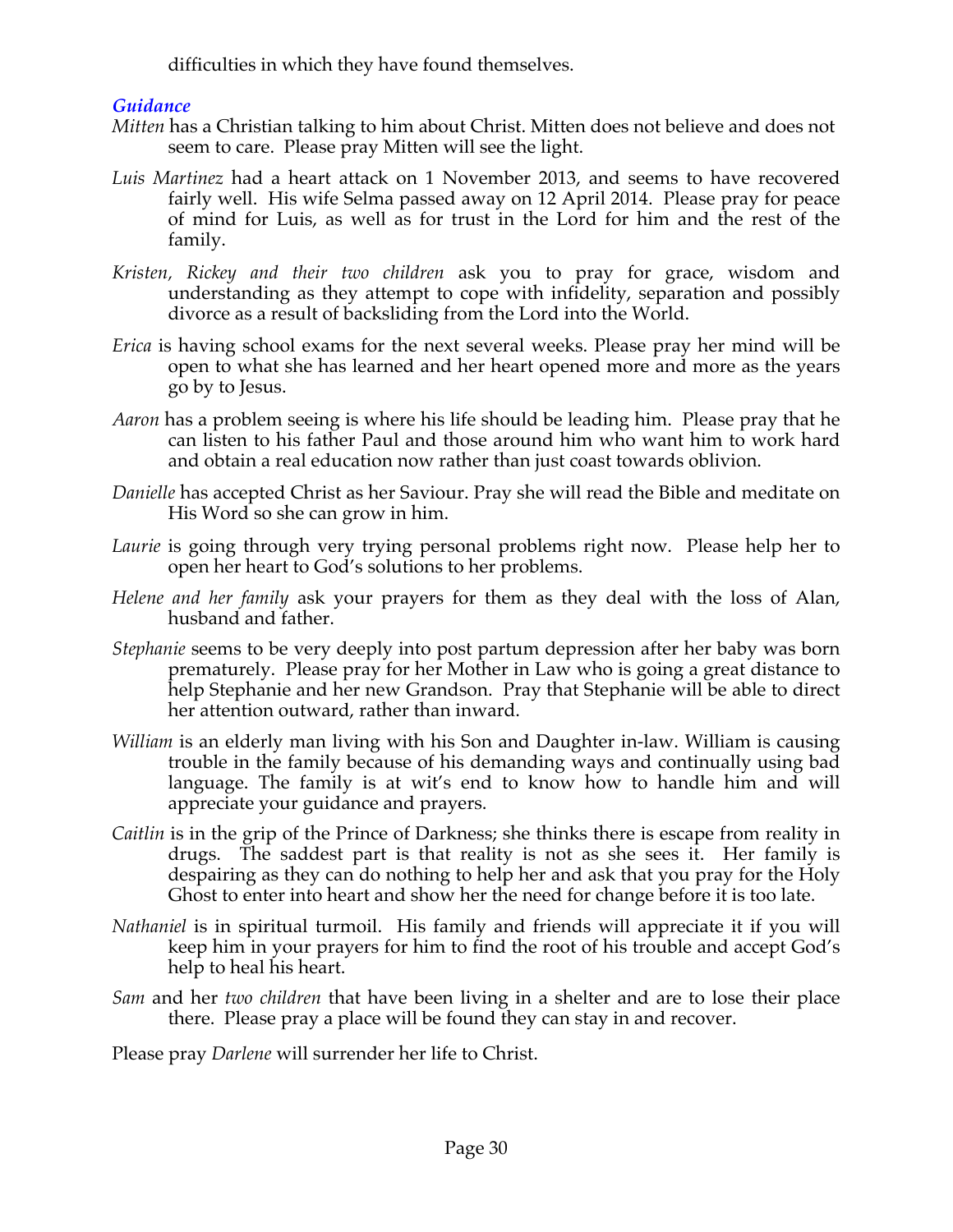difficulties in which they have found themselves.

# *Guidance*

- *Mitten* has a Christian talking to him about Christ. Mitten does not believe and does not seem to care. Please pray Mitten will see the light.
- *Luis Martinez* had a heart attack on 1 November 2013, and seems to have recovered fairly well. His wife Selma passed away on 12 April 2014. Please pray for peace of mind for Luis, as well as for trust in the Lord for him and the rest of the family.
- *Kristen, Rickey and their two children* ask you to pray for grace, wisdom and understanding as they attempt to cope with infidelity, separation and possibly divorce as a result of backsliding from the Lord into the World.
- *Erica* is having school exams for the next several weeks. Please pray her mind will be open to what she has learned and her heart opened more and more as the years go by to Jesus.
- *Aaron* has a problem seeing is where his life should be leading him. Please pray that he can listen to his father Paul and those around him who want him to work hard and obtain a real education now rather than just coast towards oblivion.
- *Danielle* has accepted Christ as her Saviour. Pray she will read the Bible and meditate on His Word so she can grow in him.
- *Laurie* is going through very trying personal problems right now. Please help her to open her heart to God's solutions to her problems.
- *Helene and her family* ask your prayers for them as they deal with the loss of Alan, husband and father.
- *Stephanie* seems to be very deeply into post partum depression after her baby was born prematurely. Please pray for her Mother in Law who is going a great distance to help Stephanie and her new Grandson. Pray that Stephanie will be able to direct her attention outward, rather than inward.
- *William* is an elderly man living with his Son and Daughter in-law. William is causing trouble in the family because of his demanding ways and continually using bad language. The family is at wit's end to know how to handle him and will appreciate your guidance and prayers.
- *Caitlin* is in the grip of the Prince of Darkness; she thinks there is escape from reality in drugs. The saddest part is that reality is not as she sees it. Her family is despairing as they can do nothing to help her and ask that you pray for the Holy Ghost to enter into heart and show her the need for change before it is too late.
- *Nathaniel* is in spiritual turmoil. His family and friends will appreciate it if you will keep him in your prayers for him to find the root of his trouble and accept God's help to heal his heart.
- *Sam* and her *two children* that have been living in a shelter and are to lose their place there. Please pray a place will be found they can stay in and recover.

Please pray *Darlene* will surrender her life to Christ.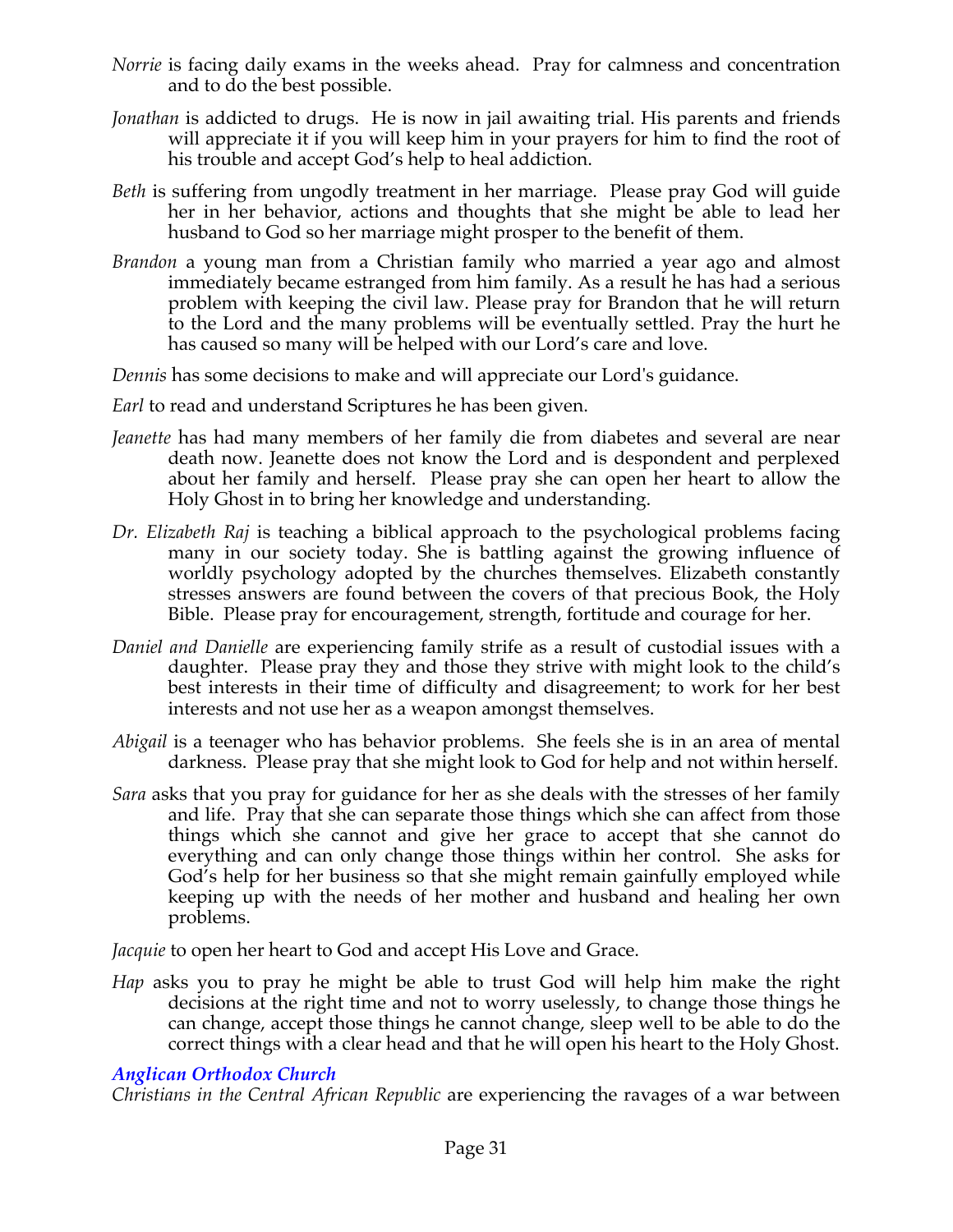- *Norrie* is facing daily exams in the weeks ahead. Pray for calmness and concentration and to do the best possible.
- *Jonathan* is addicted to drugs. He is now in jail awaiting trial. His parents and friends will appreciate it if you will keep him in your prayers for him to find the root of his trouble and accept God's help to heal addiction.
- *Beth* is suffering from ungodly treatment in her marriage. Please pray God will guide her in her behavior, actions and thoughts that she might be able to lead her husband to God so her marriage might prosper to the benefit of them.
- *Brandon* a young man from a Christian family who married a year ago and almost immediately became estranged from him family. As a result he has had a serious problem with keeping the civil law. Please pray for Brandon that he will return to the Lord and the many problems will be eventually settled. Pray the hurt he has caused so many will be helped with our Lord's care and love.

*Dennis* has some decisions to make and will appreciate our Lord's guidance.

*Earl* to read and understand Scriptures he has been given.

- *Jeanette* has had many members of her family die from diabetes and several are near death now. Jeanette does not know the Lord and is despondent and perplexed about her family and herself. Please pray she can open her heart to allow the Holy Ghost in to bring her knowledge and understanding.
- *Dr. Elizabeth Raj* is teaching a biblical approach to the psychological problems facing many in our society today. She is battling against the growing influence of worldly psychology adopted by the churches themselves. Elizabeth constantly stresses answers are found between the covers of that precious Book, the Holy Bible. Please pray for encouragement, strength, fortitude and courage for her.
- *Daniel and Danielle* are experiencing family strife as a result of custodial issues with a daughter. Please pray they and those they strive with might look to the child's best interests in their time of difficulty and disagreement; to work for her best interests and not use her as a weapon amongst themselves.
- *Abigail* is a teenager who has behavior problems. She feels she is in an area of mental darkness. Please pray that she might look to God for help and not within herself.
- *Sara* asks that you pray for guidance for her as she deals with the stresses of her family and life. Pray that she can separate those things which she can affect from those things which she cannot and give her grace to accept that she cannot do everything and can only change those things within her control. She asks for God's help for her business so that she might remain gainfully employed while keeping up with the needs of her mother and husband and healing her own problems.

*Jacquie* to open her heart to God and accept His Love and Grace.

*Hap* asks you to pray he might be able to trust God will help him make the right decisions at the right time and not to worry uselessly, to change those things he can change, accept those things he cannot change, sleep well to be able to do the correct things with a clear head and that he will open his heart to the Holy Ghost.

# *Anglican Orthodox Church*

*Christians in the Central African Republic* are experiencing the ravages of a war between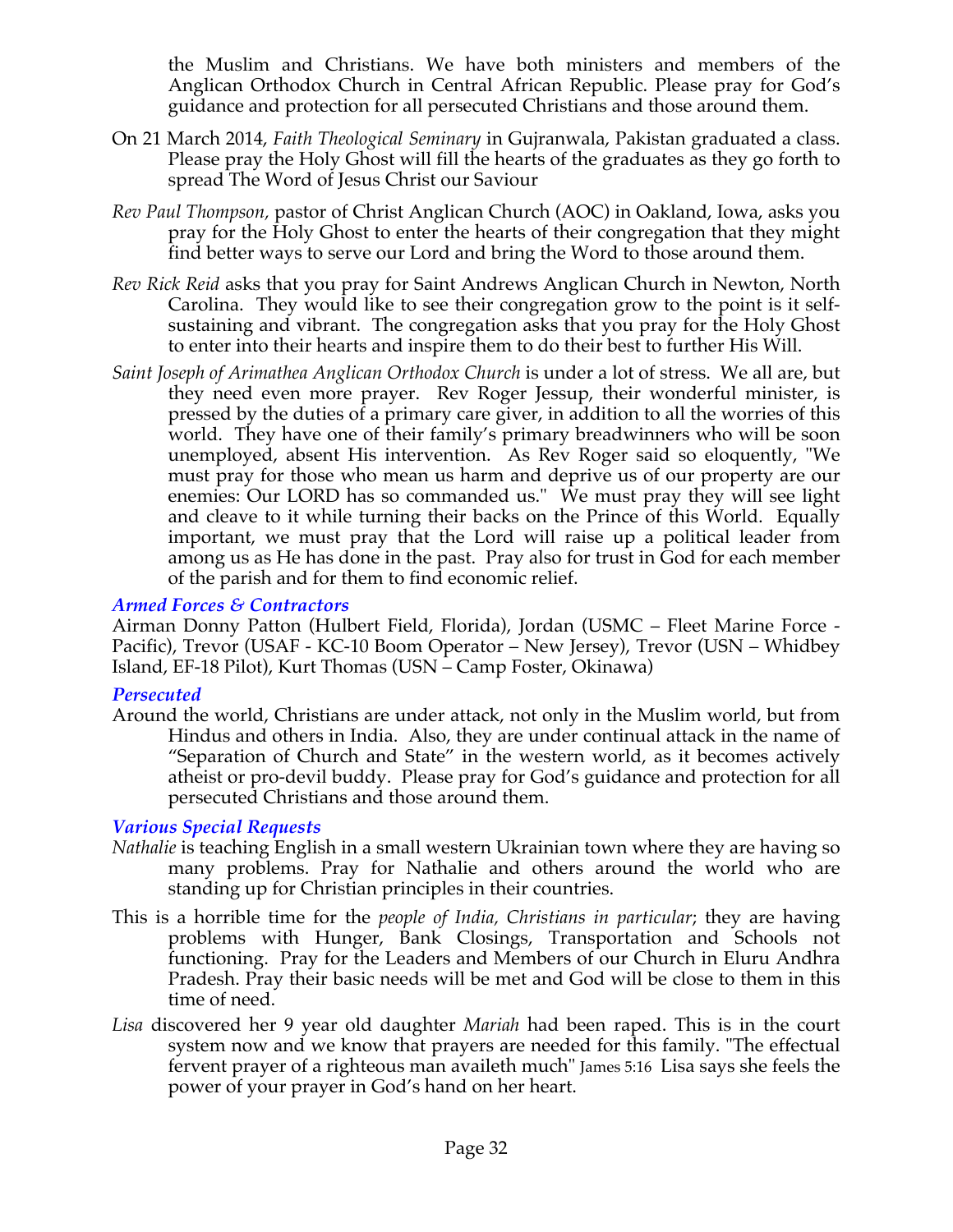the Muslim and Christians. We have both ministers and members of the Anglican Orthodox Church in Central African Republic. Please pray for God's guidance and protection for all persecuted Christians and those around them.

- On 21 March 2014, *Faith Theological Seminary* in Gujranwala, Pakistan graduated a class. Please pray the Holy Ghost will fill the hearts of the graduates as they go forth to spread The Word of Jesus Christ our Saviour
- *Rev Paul Thompson,* pastor of Christ Anglican Church (AOC) in Oakland, Iowa, asks you pray for the Holy Ghost to enter the hearts of their congregation that they might find better ways to serve our Lord and bring the Word to those around them.
- *Rev Rick Reid* asks that you pray for Saint Andrews Anglican Church in Newton, North Carolina. They would like to see their congregation grow to the point is it selfsustaining and vibrant. The congregation asks that you pray for the Holy Ghost to enter into their hearts and inspire them to do their best to further His Will.
- *Saint Joseph of Arimathea Anglican Orthodox Church* is under a lot of stress. We all are, but they need even more prayer. Rev Roger Jessup, their wonderful minister, is pressed by the duties of a primary care giver, in addition to all the worries of this world. They have one of their family's primary breadwinners who will be soon unemployed, absent His intervention. As Rev Roger said so eloquently, "We must pray for those who mean us harm and deprive us of our property are our enemies: Our LORD has so commanded us." We must pray they will see light and cleave to it while turning their backs on the Prince of this World. Equally important, we must pray that the Lord will raise up a political leader from among us as He has done in the past. Pray also for trust in God for each member of the parish and for them to find economic relief.

### *Armed Forces & Contractors*

Airman Donny Patton (Hulbert Field, Florida), Jordan (USMC – Fleet Marine Force - Pacific), Trevor (USAF - KC-10 Boom Operator – New Jersey), Trevor (USN – Whidbey Island, EF-18 Pilot), Kurt Thomas (USN – Camp Foster, Okinawa)

### *Persecuted*

Around the world, Christians are under attack, not only in the Muslim world, but from Hindus and others in India. Also, they are under continual attack in the name of "Separation of Church and State" in the western world, as it becomes actively atheist or pro-devil buddy. Please pray for God's guidance and protection for all persecuted Christians and those around them.

# *Various Special Requests*

- *Nathalie* is teaching English in a small western Ukrainian town where they are having so many problems. Pray for Nathalie and others around the world who are standing up for Christian principles in their countries.
- This is a horrible time for the *people of India, Christians in particular*; they are having problems with Hunger, Bank Closings, Transportation and Schools not functioning. Pray for the Leaders and Members of our Church in Eluru Andhra Pradesh. Pray their basic needs will be met and God will be close to them in this time of need.
- *Lisa* discovered her 9 year old daughter *Mariah* had been raped. This is in the court system now and we know that prayers are needed for this family. "The effectual fervent prayer of a righteous man availeth much" James 5:16 Lisa says she feels the power of your prayer in God's hand on her heart.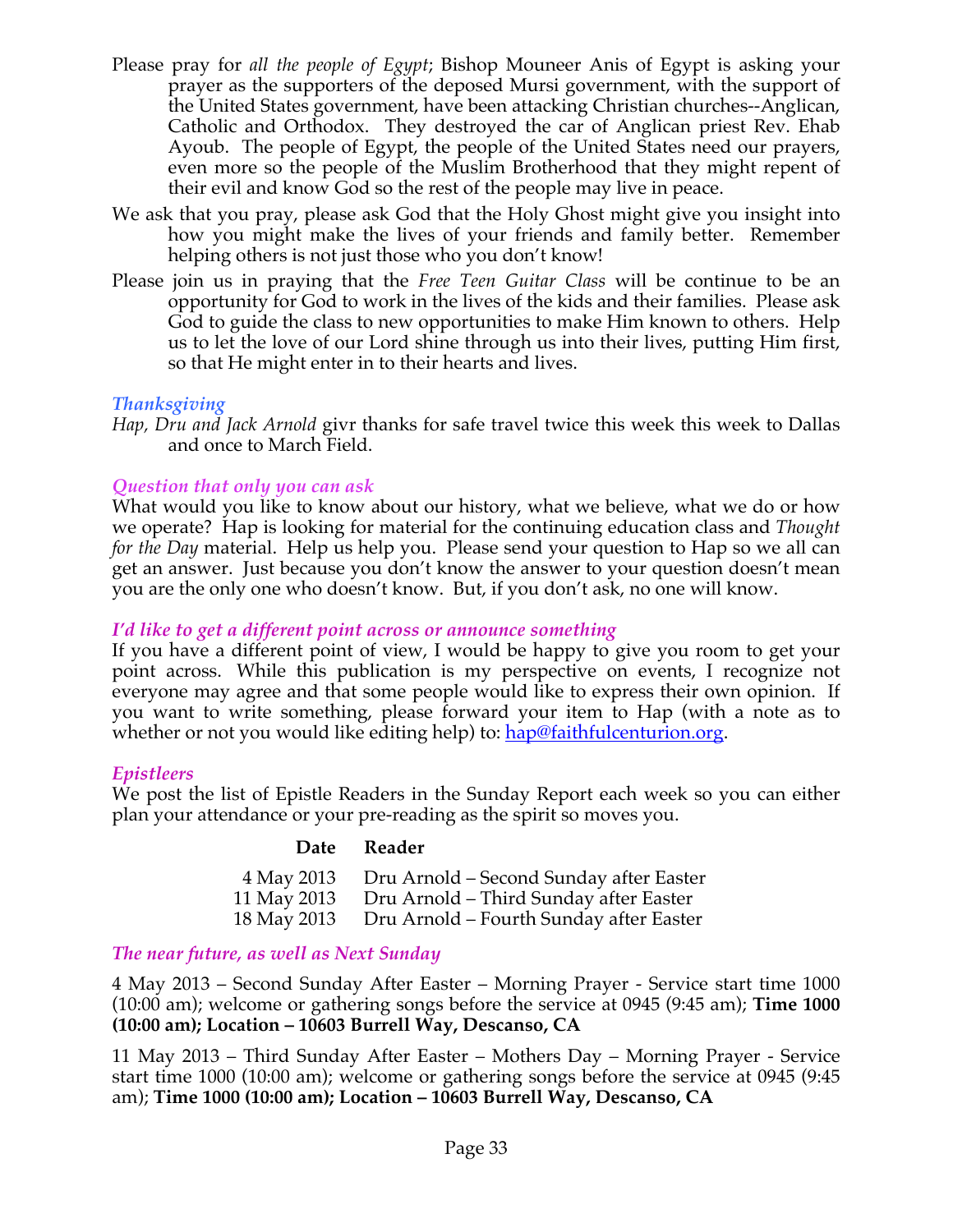- Please pray for *all the people of Egypt*; Bishop Mouneer Anis of Egypt is asking your prayer as the supporters of the deposed Mursi government, with the support of the United States government, have been attacking Christian churches--Anglican, Catholic and Orthodox. They destroyed the car of Anglican priest Rev. Ehab Ayoub. The people of Egypt, the people of the United States need our prayers, even more so the people of the Muslim Brotherhood that they might repent of their evil and know God so the rest of the people may live in peace.
- We ask that you pray, please ask God that the Holy Ghost might give you insight into how you might make the lives of your friends and family better. Remember helping others is not just those who you don't know!
- Please join us in praying that the *Free Teen Guitar Class* will be continue to be an opportunity for God to work in the lives of the kids and their families. Please ask God to guide the class to new opportunities to make Him known to others. Help us to let the love of our Lord shine through us into their lives, putting Him first, so that He might enter in to their hearts and lives.

### *Thanksgiving*

*Hap, Dru and Jack Arnold* givr thanks for safe travel twice this week this week to Dallas and once to March Field.

# *Question that only you can ask*

What would you like to know about our history, what we believe, what we do or how we operate? Hap is looking for material for the continuing education class and *Thought for the Day* material. Help us help you. Please send your question to Hap so we all can get an answer. Just because you don't know the answer to your question doesn't mean you are the only one who doesn't know. But, if you don't ask, no one will know.

### *I'd like to get a different point across or announce something*

If you have a different point of view, I would be happy to give you room to get your point across. While this publication is my perspective on events, I recognize not everyone may agree and that some people would like to express their own opinion. If you want to write something, please forward your item to Hap (with a note as to whether or not you would like editing help) to: hap@faithfulcenturion.org.

# *Epistleers*

We post the list of Epistle Readers in the Sunday Report each week so you can either plan your attendance or your pre-reading as the spirit so moves you.

### **Date Reader**

| 4 May 2013  | Dru Arnold – Second Sunday after Easter |
|-------------|-----------------------------------------|
| 11 May 2013 | Dru Arnold – Third Sunday after Easter  |
| 18 May 2013 | Dru Arnold - Fourth Sunday after Easter |

# *The near future, as well as Next Sunday*

4 May 2013 – Second Sunday After Easter – Morning Prayer - Service start time 1000 (10:00 am); welcome or gathering songs before the service at 0945 (9:45 am); **Time 1000 (10:00 am); Location – 10603 Burrell Way, Descanso, CA**

11 May 2013 – Third Sunday After Easter – Mothers Day – Morning Prayer - Service start time 1000 (10:00 am); welcome or gathering songs before the service at 0945 (9:45 am); **Time 1000 (10:00 am); Location – 10603 Burrell Way, Descanso, CA**